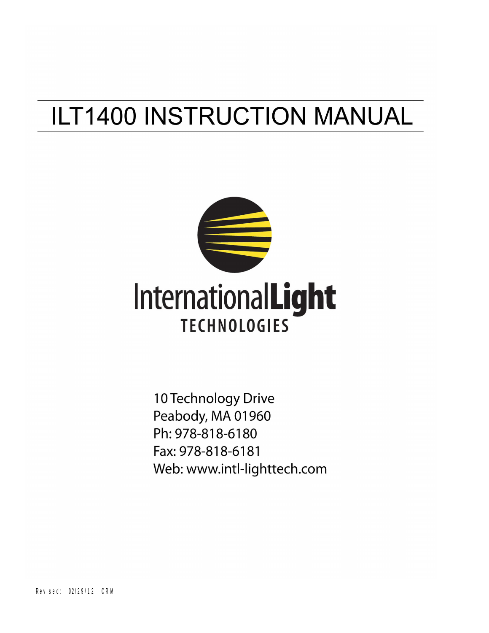# **ILT1400 INSTRUCTION MANUAL**



10 Technology Drive Peabody, MA 01960 Ph: 978-818-6180 Fax: 978-818-6181 Web: www.intl-lighttech.com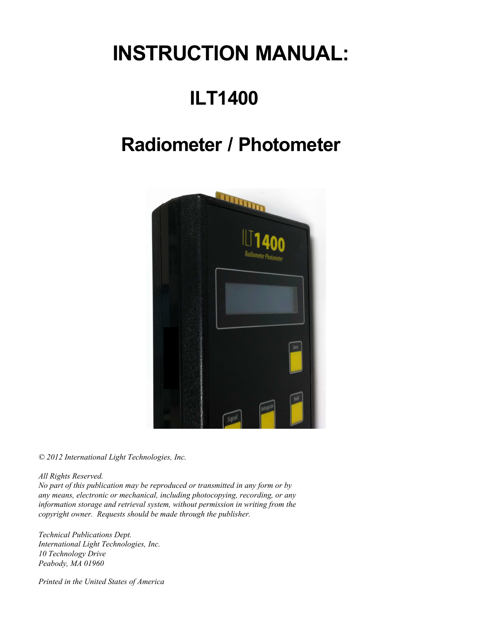# **INSTRUCTION MANUAL:**

# **ILT1400**

# **Radiometer / Photometer**



*© 2012 International Light Technologies, Inc.*

*All Rights Reserved.*

*No part of this publication may be reproduced or transmitted in any form or by any means, electronic or mechanical, including photocopying, recording, or any information storage and retrieval system, without permission in writing from the copyright owner. Requests should be made through the publisher.*

*Technical Publications Dept. International Light Technologies, Inc. 10 Technology Drive Peabody, MA 01960*

*Printed in the United States of America*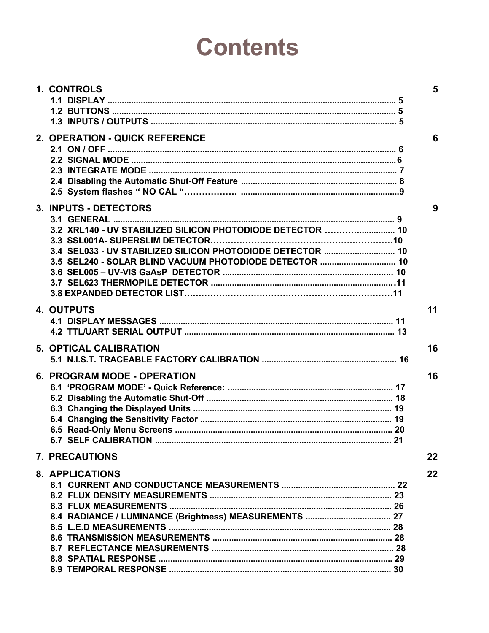# **Contents**

| 1. CONTROLS                                                | 5  |
|------------------------------------------------------------|----|
|                                                            |    |
|                                                            |    |
|                                                            |    |
| 2. OPERATION - QUICK REFERENCE                             | 6  |
|                                                            |    |
|                                                            |    |
|                                                            |    |
|                                                            |    |
|                                                            |    |
| 3. INPUTS - DETECTORS                                      | 9  |
|                                                            |    |
| 3.2 XRL140 - UV STABILIZED SILICON PHOTODIODE DETECTOR  10 |    |
|                                                            |    |
| 3.4 SEL033 - UV STABILIZED SILICON PHOTODIODE DETECTOR  10 |    |
| 3.5 SEL240 - SOLAR BLIND VACUUM PHOTODIODE DETECTOR  10    |    |
|                                                            |    |
|                                                            |    |
|                                                            |    |
|                                                            |    |
| <b>4. OUTPUTS</b>                                          | 11 |
|                                                            |    |
|                                                            |    |
| <b>5. OPTICAL CALIBRATION</b>                              | 16 |
|                                                            |    |
|                                                            | 16 |
| 6. PROGRAM MODE - OPERATION                                |    |
|                                                            |    |
|                                                            |    |
|                                                            |    |
|                                                            |    |
| <b>6.7 SELF CALIBRATION</b>                                |    |
|                                                            |    |
| <b>7. PRECAUTIONS</b>                                      | 22 |
| <b>8. APPLICATIONS</b>                                     | 22 |
|                                                            |    |
|                                                            |    |
|                                                            |    |
|                                                            |    |
|                                                            |    |
|                                                            |    |
|                                                            |    |
|                                                            |    |
|                                                            |    |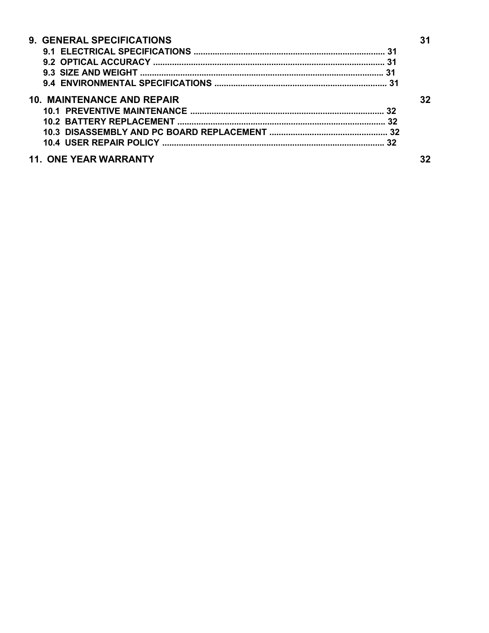| 9. GENERAL SPECIFICATIONS         |    |  |
|-----------------------------------|----|--|
|                                   |    |  |
|                                   |    |  |
|                                   |    |  |
|                                   |    |  |
| <b>10. MAINTENANCE AND REPAIR</b> | 32 |  |
|                                   |    |  |
|                                   |    |  |
|                                   |    |  |
|                                   |    |  |
| <b>11. ONE YEAR WARRANTY</b>      |    |  |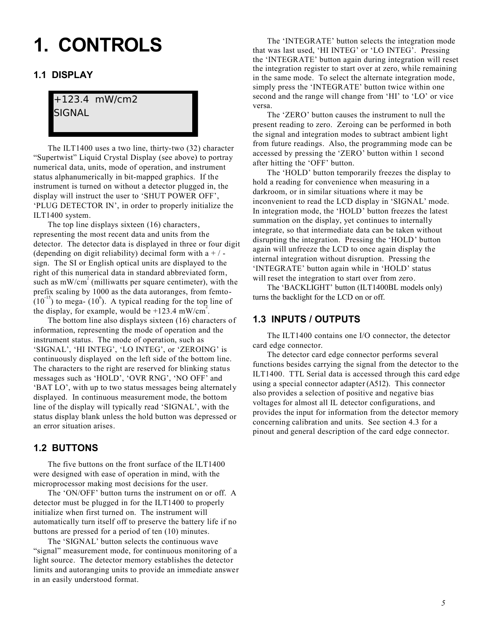# **1. CONTROLS**

### **1.1 DISPLAY**

# +123.4 mW/cm2 SIGNAL

The ILT1400 uses a two line, thirty-two (32) character "Supertwist" Liquid Crystal Display (see above) to portray numerical data, units, mode of operation, and instrument status alphanumerically in bit-mapped graphics. If the instrument is turned on without a detector plugged in, the display will instruct the user to 'SHUT POWER OFF', 'PLUG DETECTOR IN', in order to properly initialize the ILT1400 system.

The top line displays sixteen (16) characters, representing the most recent data and units from the detector. The detector data is displayed in three or four digit (depending on digit reliability) decimal form with a  $+/$ sign. The SI or English optical units are displayed to the right of this numerical data in standard abbreviated form, such as  $mW/cm<sup>2</sup>$  (milliwatts per square centimeter), with the prefix scaling by 1000 as the data autoranges, from femto-  $(10^{-15})$  to mega-  $(10^6)$ . A typical reading for the top line of the display, for example, would be  $+123.4$  mW/cm<sup>2</sup>.

The bottom line also displays sixteen (16) characters of information, representing the mode of operation and the instrument status. The mode of operation, such as 'SIGNAL', 'HI INTEG', 'LO INTEG', or 'ZEROING' is continuously displayed on the left side of the bottom line. The characters to the right are reserved for blinking status messages such as 'HOLD', 'OVR RNG', 'NO OFF' and 'BAT LO', with up to two status messages being alternately displayed. In continuous measurement mode, the bottom line of the display will typically read 'SIGNAL', with the status display blank unless the hold button was depressed or an error situation arises.

### **1.2 BUTTONS**

The five buttons on the front surface of the ILT1400 were designed with ease of operation in mind, with the microprocessor making most decisions for the user.

The 'ON/OFF' button turns the instrument on or off. A detector must be plugged in for the ILT1400 to properly initialize when first turned on. The instrument will automatically turn itself off to preserve the battery life if no buttons are pressed for a period of ten (10) minutes.

The 'SIGNAL' button selects the continuous wave "signal" measurement mode, for continuous monitoring of a light source. The detector memory establishes the detector limits and autoranging units to provide an immediate answer in an easily understood format.

The 'INTEGRATE' button selects the integration mode that was last used, 'HI INTEG' or 'LO INTEG'. Pressing the 'INTEGRATE' button again during integration will reset the integration register to start over at zero, while remaining in the same mode. To select the alternate integration mode, simply press the 'INTEGRATE' button twice within one second and the range will change from 'HI' to 'LO' or vice versa.

The 'ZERO' button causes the instrument to null the present reading to zero. Zeroing can be performed in both the signal and integration modes to subtract ambient light from future readings. Also, the programming mode can be accessed by pressing the 'ZERO' button within 1 second after hitting the 'OFF' button.

The 'HOLD' button temporarily freezes the display to hold a reading for convenience when measuring in a darkroom, or in similar situations where it may be inconvenient to read the LCD display in 'SIGNAL' mode. In integration mode, the 'HOLD' button freezes the latest summation on the display, yet continues to internally integrate, so that intermediate data can be taken without disrupting the integration. Pressing the 'HOLD' button again will unfreeze the LCD to once again display the internal integration without disruption. Pressing the 'INTEGRATE' button again while in 'HOLD' status will reset the integration to start over from zero.

The 'BACKLIGHT' button (ILT1400BL models only) turns the backlight for the LCD on or off.

### **1.3 INPUTS / OUTPUTS**

The ILT1400 contains one I/O connector, the detector card edge connector.

The detector card edge connector performs several functions besides carrying the signal from the detector to the ILT1400. TTL Serial data is accessed through this card edge using a special connector adapter (A512). This connector also provides a selection of positive and negative bias voltages for almost all IL detector configurations, and provides the input for information from the detector memory concerning calibration and units. See section 4.3 for a pinout and general description of the card edge connector.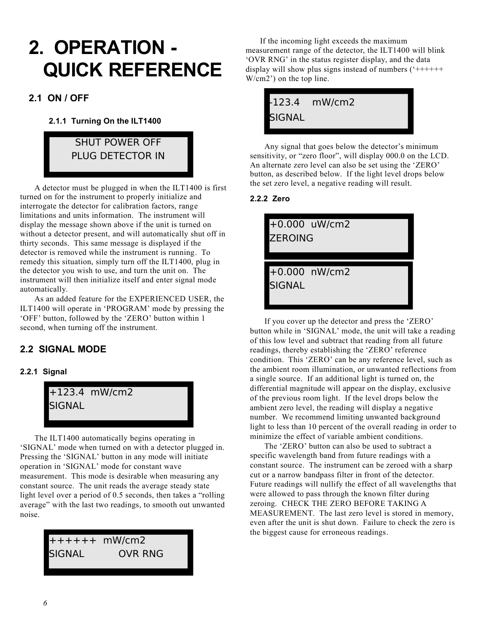# **2. OPERATION - QUICK REFERENCE**

## **2.1 ON / OFF**

#### **2.1.1 Turning On the ILT1400**

# SHUT POWER OFF PLUG DETECTOR IN

A detector must be plugged in when the ILT1400 is first turned on for the instrument to properly initialize and interrogate the detector for calibration factors, range limitations and units information. The instrument will display the message shown above if the unit is turned on without a detector present, and will automatically shut off in thirty seconds. This same message is displayed if the detector is removed while the instrument is running. To remedy this situation, simply turn off the ILT1400, plug in the detector you wish to use, and turn the unit on. The instrument will then initialize itself and enter signal mode automatically.

As an added feature for the EXPERIENCED USER, the ILT1400 will operate in 'PROGRAM' mode by pressing the 'OFF' button, followed by the 'ZERO' button within 1 second, when turning off the instrument.

## **2.2 SIGNAL MODE**

#### **2.2.1 Signal**



The ILT1400 automatically begins operating in 'SIGNAL' mode when turned on with a detector plugged in. Pressing the 'SIGNAL' button in any mode will initiate operation in 'SIGNAL' mode for constant wave measurement. This mode is desirable when measuring any constant source. The unit reads the average steady state light level over a period of 0.5 seconds, then takes a "rolling average" with the last two readings, to smooth out unwanted noise.

# ++++++ mW/cm2 SIGNAL OVR RNG

If the incoming light exceeds the maximum measurement range of the detector, the ILT1400 will blink 'OVR RNG' in the status register display, and the data display will show plus signs instead of numbers  $(*+++++$ W/cm2') on the top line.

|               | 123.4 mW/cm2 |  |
|---------------|--------------|--|
| <b>SIGNAL</b> |              |  |

Any signal that goes below the detector's minimum sensitivity, or "zero floor", will display 000.0 on the LCD. An alternate zero level can also be set using the 'ZERO' button, as described below. If the light level drops below the set zero level, a negative reading will result.

#### **2.2.2 Zero**

+0.000 uW/cm2 ZEROING

+0.000 nW/cm2 **SIGNAL** 

If you cover up the detector and press the 'ZERO' button while in 'SIGNAL' mode, the unit will take a reading of this low level and subtract that reading from all future readings, thereby establishing the 'ZERO' reference condition. This 'ZERO' can be any reference level, such as the ambient room illumination, or unwanted reflections from a single source. If an additional light is turned on, the differential magnitude will appear on the display, exclusive of the previous room light. If the level drops below the ambient zero level, the reading will display a negative number. We recommend limiting unwanted background light to less than 10 percent of the overall reading in order to minimize the effect of variable ambient conditions.

The 'ZERO' button can also be used to subtract a specific wavelength band from future readings with a constant source. The instrument can be zeroed with a sharp cut or a narrow bandpass filter in front of the detector. Future readings will nullify the effect of all wavelengths that were allowed to pass through the known filter during zeroing. CHECK THE ZERO BEFORE TAKING A MEASUREMENT. The last zero level is stored in memory, even after the unit is shut down. Failure to check the zero is the biggest cause for erroneous readings.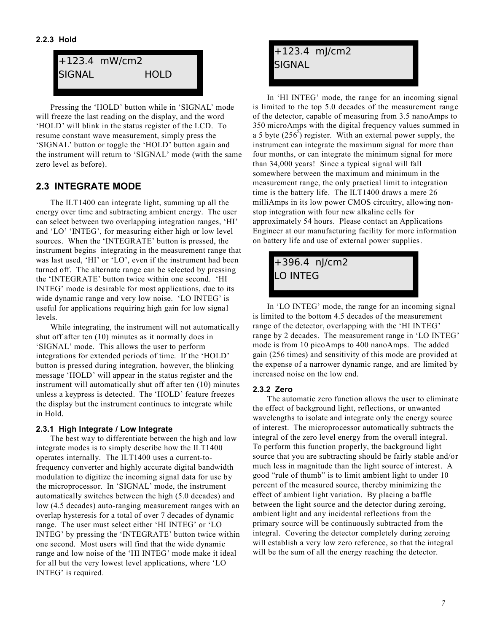#### **2.2.3 Hold**



Pressing the 'HOLD' button while in 'SIGNAL' mode will freeze the last reading on the display, and the word 'HOLD' will blink in the status register of the LCD. To resume constant wave measurement, simply press the 'SIGNAL' button or toggle the 'HOLD' button again and the instrument will return to 'SIGNAL' mode (with the same zero level as before).

## **2.3 INTEGRATE MODE**

The ILT1400 can integrate light, summing up all the energy over time and subtracting ambient energy. The user can select between two overlapping integration ranges, 'HI' and 'LO' 'INTEG', for measuring either high or low level sources. When the 'INTEGRATE' button is pressed, the instrument begins integrating in the measurement range that was last used, 'HI' or 'LO', even if the instrument had been turned off. The alternate range can be selected by pressing the 'INTEGRATE' button twice within one second. 'HI INTEG' mode is desirable for most applications, due to its wide dynamic range and very low noise. 'LO INTEG' is useful for applications requiring high gain for low signal levels.

While integrating, the instrument will not automatically shut off after ten (10) minutes as it normally does in 'SIGNAL' mode. This allows the user to perform integrations for extended periods of time. If the 'HOLD' button is pressed during integration, however, the blinking message 'HOLD' will appear in the status register and the instrument will automatically shut off after ten (10) minutes unless a keypress is detected. The 'HOLD' feature freezes the display but the instrument continues to integrate while in Hold.

#### **2.3.1 High Integrate / Low Integrate**

The best way to differentiate between the high and low integrate modes is to simply describe how the ILT1400 operates internally. The ILT1400 uses a current-tofrequency converter and highly accurate digital bandwidth modulation to digitize the incoming signal data for use by the microprocessor. In 'SIGNAL' mode, the instrument automatically switches between the high (5.0 decades) and low (4.5 decades) auto-ranging measurement ranges with an overlap hysteresis for a total of over 7 decades of dynamic range. The user must select either 'HI INTEG' or 'LO INTEG' by pressing the 'INTEGRATE' button twice within one second. Most users will find that the wide dynamic range and low noise of the 'HI INTEG' mode make it ideal for all but the very lowest level applications, where 'LO INTEG' is required.

# +123.4 mJ/cm2 SIGNAL

In 'HI INTEG' mode, the range for an incoming signal is limited to the top 5.0 decades of the measurement range of the detector, capable of measuring from 3.5 nanoAmps to 350 microAmps with the digital frequency values summed in a 5 byte  $(256^5)$  register. With an external power supply, the instrument can integrate the maximum signal for more than four months, or can integrate the minimum signal for more than 34,000 years! Since a typical signal will fall somewhere between the maximum and minimum in the measurement range, the only practical limit to integration time is the battery life. The ILT1400 draws a mere 26 milliAmps in its low power CMOS circuitry, allowing nonstop integration with four new alkaline cells for approximately 54 hours. Please contact an Applications Engineer at our manufacturing facility for more information on battery life and use of external power supplies.

# +396.4 nJ/cm2 LO INTEG

In 'LO INTEG' mode, the range for an incoming signal is limited to the bottom 4.5 decades of the measurement range of the detector, overlapping with the 'HI INTEG' range by 2 decades. The measurement range in 'LO INTEG' mode is from 10 picoAmps to 400 nanoAmps. The added gain (256 times) and sensitivity of this mode are provided at the expense of a narrower dynamic range, and are limited by increased noise on the low end.

#### **2.3.2 Zero**

The automatic zero function allows the user to eliminate the effect of background light, reflections, or unwanted wavelengths to isolate and integrate only the energy source of interest. The microprocessor automatically subtracts the integral of the zero level energy from the overall integral. To perform this function properly, the background light source that you are subtracting should be fairly stable and/or much less in magnitude than the light source of interest. A good "rule of thumb" is to limit ambient light to under 10 percent of the measured source, thereby minimizing the effect of ambient light variation. By placing a baffle between the light source and the detector during zeroing, ambient light and any incidental reflections from the primary source will be continuously subtracted from the integral. Covering the detector completely during zeroing will establish a very low zero reference, so that the integral will be the sum of all the energy reaching the detector.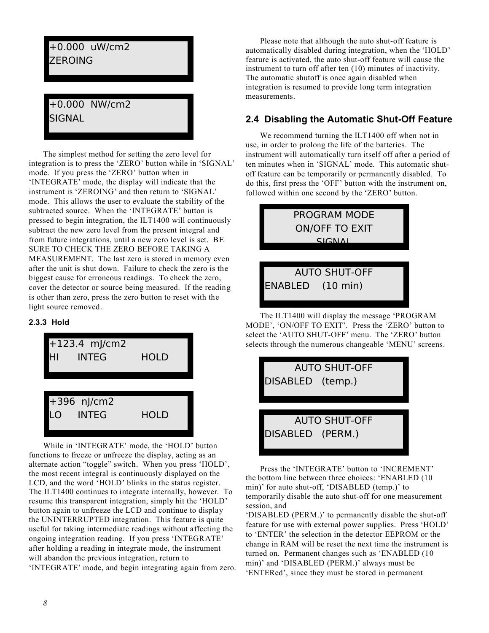# +0.000 uW/cm2 **ZEROING**

# +0.000 NW/cm2 **SIGNAL**

The simplest method for setting the zero level for integration is to press the 'ZERO' button while in 'SIGNAL' mode. If you press the 'ZERO' button when in 'INTEGRATE' mode, the display will indicate that the instrument is 'ZEROING' and then return to 'SIGNAL' mode. This allows the user to evaluate the stability of the subtracted source. When the 'INTEGRATE' button is pressed to begin integration, the ILT1400 will continuously subtract the new zero level from the present integral and from future integrations, until a new zero level is set. BE SURE TO CHECK THE ZERO BEFORE TAKING A MEASUREMENT. The last zero is stored in memory even after the unit is shut down. Failure to check the zero is the biggest cause for erroneous readings. To check the zero, cover the detector or source being measured. If the reading is other than zero, press the zero button to reset with the light source removed.

#### **2.3.3 Hold**



While in 'INTEGRATE' mode, the 'HOLD' button functions to freeze or unfreeze the display, acting as an alternate action "toggle" switch. When you press 'HOLD', the most recent integral is continuously displayed on the LCD, and the word 'HOLD' blinks in the status register. The ILT1400 continues to integrate internally, however. To resume this transparent integration, simply hit the 'HOLD' button again to unfreeze the LCD and continue to display the UNINTERRUPTED integration. This feature is quite useful for taking intermediate readings without affecting the ongoing integration reading. If you press 'INTEGRATE' after holding a reading in integrate mode, the instrument will abandon the previous integration, return to 'INTEGRATE' mode, and begin integrating again from zero.

Please note that although the auto shut-off feature is automatically disabled during integration, when the 'HOLD' feature is activated, the auto shut-off feature will cause the instrument to turn off after ten (10) minutes of inactivity. The automatic shutoff is once again disabled when integration is resumed to provide long term integration measurements.

## **2.4 Disabling the Automatic Shut-Off Feature**

We recommend turning the ILT1400 off when not in use, in order to prolong the life of the batteries. The instrument will automatically turn itself off after a period of ten minutes when in 'SIGNAL' mode. This automatic shutoff feature can be temporarily or permanently disabled. To do this, first press the 'OFF' button with the instrument on, followed within one second by the 'ZERO' button.



The ILT1400 will display the message 'PROGRAM MODE', 'ON/OFF TO EXIT'. Press the 'ZERO' button to select the 'AUTO SHUT-OFF' menu. The 'ZERO' button selects through the numerous changeable 'MENU' screens.



Press the 'INTEGRATE' button to 'INCREMENT' the bottom line between three choices: 'ENABLED (10 min)' for auto shut-off, 'DISABLED (temp.)' to temporarily disable the auto shut-off for one measurement session, and

'DISABLED (PERM.)' to permanently disable the shut-off feature for use with external power supplies. Press 'HOLD' to 'ENTER' the selection in the detector EEPROM or the change in RAM will be reset the next time the instrument is turned on. Permanent changes such as 'ENABLED (10 min)' and 'DISABLED (PERM.)' always must be 'ENTERed', since they must be stored in permanent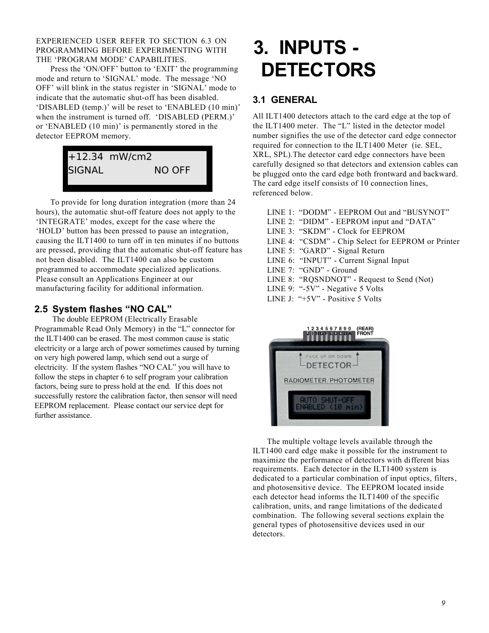EXPERIENCED USER REFER TO SECTION 6.3 ON PROGRAMMING BEFORE EXPERIMENTING WITH THE 'PROGRAM MODE' CAPABILITIES.

Press the 'ON/OFF' button to 'EXIT' the programming mode and return to 'SIGNAL' mode. The message 'NO OFF' will blink in the status register in 'SIGNAL' mode to indicate that the automatic shut-off has been disabled. 'DISABLED (temp.)' will be reset to 'ENABLED (10 min)' when the instrument is turned off. 'DISABLED (PERM.)' or 'ENABLED (10 min)' is permanently stored in the detector EEPROM memory.

# +12.34 mW/cm2 SIGNAL NO OFF

To provide for long duration integration (more than 24 hours), the automatic shut-off feature does not apply to the 'INTEGRATE' modes, except for the case where the 'HOLD' button has been pressed to pause an integration, causing the ILT1400 to turn off in ten minutes if no buttons are pressed, providing that the automatic shut-off feature has not been disabled. The ILT1400 can also be custom programmed to accommodate specialized applications. Please consult an Applications Engineer at our manufacturing facility for additional information.

## **2.5 System flashes "NO CAL"**

The double EEPROM (Electrically Erasable Programmable Read Only Memory) in the "L" connector for the ILT1400 can be erased. The most common cause is static electricity or a large arch of power sometimes caused by turning on very high powered lamp, which send out a surge of electricity. If the system flashes "NO CAL" you will have to follow the steps in chapter 6 to self program your calibration factors, being sure to press hold at the end. If this does not successfully restore the calibration factor, then sensor will need EEPROM replacement. Please contact our service dept for further assistance.

# **3. INPUTS - DETECTORS**

# **3.1 GENERAL**

All ILT1400 detectors attach to the card edge at the top of the ILT1400 meter. The "L" listed in the detector model number signifies the use of the detector card edge connector required for connection to the ILT1400 Meter (ie. SEL, XRL, SPL).The detector card edge connectors have been carefully designed so that detectors and extension cables can be plugged onto the card edge both frontward and backward. The card edge itself consists of 10 connection lines, referenced below.

|  | LINE 1: "DODM" - EEPROM Out and "BUSYNOT"          |
|--|----------------------------------------------------|
|  | LINE 2: "DIDM" - EEPROM input and "DATA"           |
|  | LINE 3: "SKDM" - Clock for EEPROM                  |
|  | LINE 4: "CSDM" - Chip Select for EEPROM or Printer |
|  | LINE 5: "GARD" - Signal Return                     |
|  | LINE 6: "INPUT" - Current Signal Input             |
|  | LINE 7: "GND" - Ground                             |
|  | LINE 8: "RQSNDNOT" - Request to Send (Not)         |
|  | LINE 9: "-5V" - Negative 5 Volts                   |
|  | LINE J: " $+5V$ " - Positive 5 Volts               |
|  |                                                    |



The multiple voltage levels available through the ILT1400 card edge make it possible for the instrument to maximize the performance of detectors with different bias requirements. Each detector in the ILT1400 system is dedicated to a particular combination of input optics, filters, and photosensitive device. The EEPROM located inside each detector head informs the ILT1400 of the specific calibration, units, and range limitations of the dedicated combination. The following several sections explain the general types of photosensitive devices used in our detectors.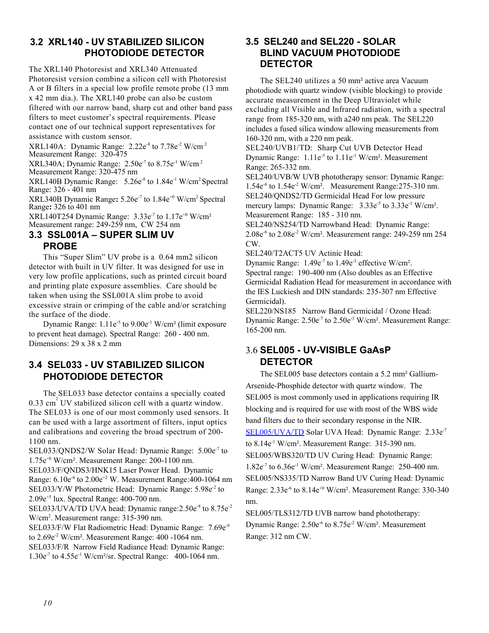## **3.2 XRL140 - UV STABILIZED SILICON PHOTODIODE DETECTOR**

The XRL140 Photoresist and XRL340 Attenuated Photoresist version combine a silicon cell with Photoresist A or B filters in a special low profile remote probe (13 mm x 42 mm dia.). The XRL140 probe can also be custom filtered with our narrow band, sharp cut and other band pass filters to meet customer's spectral requirements. Please contact one of our technical support representatives for assistance with custom sensor.

XRL140A: Dynamic Range: 2.22e<sup>-8</sup> to 7.78e<sup>-2</sup> W/cm<sup>2</sup> Measurement Range: 320-475

XRL340A; Dynamic Range:  $2.50e^7$  to  $8.75e^1$  W/cm<sup>2</sup> Measurement Range: 320-475 nm

XRL140B Dynamic Range: 5.26e<sup>-8</sup> to 1.84e<sup>-1</sup> W/cm<sup>2</sup> Spectral Range: 326 - 401 nm

XRL340B Dynamic Range**:** 5.26e-7 to 1.84e+0 W/cm<sup>2</sup>Spectral Range**:** 326 to 401 nm

XRL140T254 Dynamic Range:  $3.33e<sup>-7</sup>$  to  $1.17e<sup>+0</sup>$  W/cm<sup>2</sup> Measurement range: 249-259 nm, CW 254 nm

### **3.3 SSL001A – SUPER SLIM UV PROBE**

This "Super Slim" UV probe is a 0.64 mm2 silicon detector with built in UV filter. It was designed for use in very low profile applications, such as printed circuit board and printing plate exposure assemblies. Care should be taken when using the SSL001A slim probe to avoid excessive strain or crimping of the cable and/or scratching the surface of the diode.

Dynamic Range:  $1.11e^{-5}$  to  $9.00e^{-1}$  W/cm<sup>2</sup> (limit exposure to prevent heat damage). Spectral Range: 260 - 400 nm. Dimensions: 29 x 38 x 2 mm

### **3.4 SEL033 - UV STABILIZED SILICON PHOTODIODE DETECTOR**

The SEL033 base detector contains a specially coated 0.33 cm<sup>2</sup> UV stabilized silicon cell with a quartz window. The SEL033 is one of our most commonly used sensors. It can be used with a large assortment of filters, input optics and calibrations and covering the broad spectrum of 200- 1100 nm.

SEL033/QNDS2/W Solar Head: Dynamic Range: 5.00e<sup>-7</sup> to 1.75e+0 W/cm². Measurement Range: 200-1100 nm. SEL033/F/QNDS3/HNK15 Laser Power Head. Dynamic Range:  $6.10e^{4}$  to  $2.00e^{2}$  W. Measurement Range: 400-1064 nm SEL033/Y/W Photometric Head:Dynamic Range: 5.98e-2 to 2.09e+5 lux. Spectral Range: 400-700 nm.

SEL033/UVA/TD UVA head: Dynamic range: 2.50e<sup>-8</sup> to 8.75e<sup>-2</sup> W/cm<sup>2</sup> . Measurement range: 315-390 nm.

SEL033/F/W Flat Radiometric Head: Dynamic Range: 7.69e-9 to  $2.69e<sup>-2</sup>$  W/cm<sup>2</sup>. Measurement Range:  $400 - 1064$  nm. SEL033/F/R Narrow Field Radiance Head: Dynamic Range: 1.30e-7 to 4.55e-1 W/cm²/sr. Spectral Range: 400-1064 nm.

## **3.5 SEL240 and SEL220 - SOLAR BLIND VACUUM PHOTODIODE DETECTOR**

The SEL240 utilizes a 50 mm² active area Vacuum photodiode with quartz window (visible blocking) to provide accurate measurement in the Deep Ultraviolet while excluding all Visible and Infrared radiation, with a spectral range from 185-320 nm, with a240 nm peak. The SEL220 includes a fused silica window allowing measurements from 160-320 nm, with a 220 nm peak.

SEL240/UVB1/TD: Sharp Cut UVB Detector Head Dynamic Range:  $1.11e^{-5}$  to  $1.11e^{-1}$  W/cm<sup>2</sup>. Measurement Range: 265-332 nm.

SEL240/UVB/W UVB phototherapy sensor: Dynamic Range:  $1.54e<sup>-6</sup>$  to  $1.54e<sup>-2</sup>$  W/cm<sup>2</sup>. Measurement Range:  $275-310$  nm. SEL240/QNDS2/TD Germicidal Head For low pressure mercury lamps: Dynamic Range: 3.33e<sup>-5</sup> to 3.33e<sup>-1</sup> W/cm<sup>2</sup>.

Measurement Range: 185 - 310 nm.

SEL240/NS254/TD Narrowband Head: Dynamic Range:  $2.08e^{6}$  to  $2.08e^{2}$  W/cm<sup>2</sup>. Measurement range: 249-259 nm 254 CW.

SEL240/T2ACT5 UV Actinic Head:

Dynamic Range: 1.49e<sup>-7</sup> to 1.49e<sup>-3</sup> effective W/cm<sup>2</sup>. Spectral range: 190-400 nm (Also doubles as an Effective Germicidal Radiation Head for measurement in accordance with the IES Luckiesh and DIN standards: 235-307 nm Effective Germicidal).

SEL220/NS185 Narrow Band Germicidal / Ozone Head: Dynamic Range: 2.50e<sup>-7</sup> to 2.50e<sup>-3</sup> W/cm<sup>2</sup>. Measurement Range: 165-200 nm.

### 3.6 **SEL005 - UV-VISIBLE GaAsP DETECTOR**

The SEL005 base detectors contain a 5.2 mm² Gallium-Arsenide-Phosphide detector with quartz window. The SEL005 is most commonly used in applications requiring IR blocking and is required for use with most of the WBS wide band filters due to their secondary response in the NIR. [SEL005/UVA/TD](http://www.intl-lighttech.com/products/detectors/1400systems/sel005uvatd) Solar UVA Head: Dynamic Range: 2.33e-7 to  $8.14e^{1}$  W/cm<sup>2</sup>. Measurement Range:  $315-390$  nm. SEL005/WBS320/TD UV Curing Head: Dynamic Range: 1.82e-7 to 6.36e-1 W/cm². Measurement Range: 250-400 nm. SEL005/NS335/TD Narrow Band UV Curing Head: Dynamic Range: 2.33e<sup>-6</sup> to 8.14e<sup>+0</sup> W/cm<sup>2</sup>. Measurement Range: 330-340 nm.

SEL005/TLS312/TD UVB narrow band phototherapy: Dynamic Range:  $2.50e^{-6}$  to  $8.75e^{-2}$  W/cm<sup>2</sup>. Measurement Range: 312 nm CW.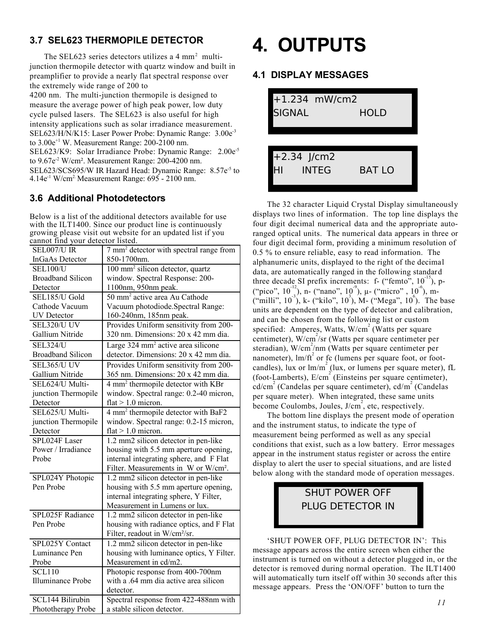## **3.7 SEL623 THERMOPILE DETECTOR**

The SEL623 series detectors utilizes a 4 mm<sup>2</sup> multijunction thermopile detector with quartz window and built in preamplifier to provide a nearly flat spectral response over the extremely wide range of 200 to

4200 nm. The multi-junction thermopile is designed to measure the average power of high peak power, low duty cycle pulsed lasers. The SEL623 is also useful for high intensity applications such as solar irradiance measurement. SEL623/H/N/K15: Laser Power Probe: Dynamic Range: 3.00e-3 to  $3.00e^{+1}$  W. Measurement Range:  $200-2100$  nm. SEL623/K9: Solar Irradiance Probe: Dynamic Range: 2.00e<sup>-5</sup> to 9.67e<sup>-2</sup> W/cm<sup>2</sup>. Measurement Range: 200-4200 nm. SEL623/SCS695/W IR Hazard Head: Dynamic Range: 8.57e<sup>-5</sup> to 4.14e-1 W/cm2. Measurement Range: 695 - 2100 nm.

## **3.6 Additional Photodetectors**

Below is a list of the additional detectors available for use with the ILT1400. Since our product line is continuously growing please visit out website for an updated list if you cannot find your detector listed.

| SEL007/U IR              | 7 mm <sup>2</sup> detector with spectral range from |  |  |
|--------------------------|-----------------------------------------------------|--|--|
| InGaAs Detector          | 850-1700nm.                                         |  |  |
| <b>SEL100/U</b>          | 100 mm <sup>2</sup> silicon detector, quartz        |  |  |
| <b>Broadband Silicon</b> | window. Spectral Response: 200-                     |  |  |
| Detector                 | 1100nm, 950nm peak.                                 |  |  |
| SEL185/U Gold            | 50 mm <sup>2</sup> active area Au Cathode           |  |  |
| Cathode Vacuum           | Vacuum photodiode.Spectral Range:                   |  |  |
| <b>UV</b> Detector       | 160-240nm, 185nm peak.                              |  |  |
| SEL320/U UV              | Provides Uniform sensitivity from 200-              |  |  |
| Gallium Nitride          | 320 nm. Dimensions: 20 x 42 mm dia.                 |  |  |
| <b>SEL324/U</b>          | Large 324 mm <sup>2</sup> active area silicone      |  |  |
| <b>Broadband Silicon</b> | detector. Dimensions: 20 x 42 mm dia.               |  |  |
| <b>SEL365/U UV</b>       | Provides Uniform sensitivity from 200-              |  |  |
| Gallium Nitride          | 365 nm. Dimensions: 20 x 42 mm dia.                 |  |  |
| SEL624/U Multi-          | 4 mm <sup>2</sup> thermopile detector with KBr      |  |  |
| junction Thermopile      | window. Spectral range: 0.2-40 micron,              |  |  |
| Detector                 | $flat > 1.0$ micron.                                |  |  |
| SEL625/U Multi-          | 4 mm <sup>2</sup> thermopile detector with BaF2     |  |  |
| junction Thermopile      | window. Spectral range: 0.2-15 micron,              |  |  |
| Detector                 | flat $> 1.0$ micron.                                |  |  |
| SPL024F Laser            | 1.2 mm2 silicon detector in pen-like                |  |  |
| Power / Irradiance       | housing with 5.5 mm aperture opening,               |  |  |
| Probe                    | internal integrating sphere, and F Flat             |  |  |
|                          | Filter. Measurements in W or W/cm <sup>2</sup> .    |  |  |
| SPL024Y Photopic         | 1.2 mm2 silicon detector in pen-like                |  |  |
| Pen Probe                | housing with 5.5 mm aperture opening,               |  |  |
|                          | internal integrating sphere, Y Filter,              |  |  |
|                          | Measurement in Lumens or lux.                       |  |  |
| SPL025F Radiance         | 1.2 mm2 silicon detector in pen-like                |  |  |
| Pen Probe                | housing with radiance optics, and F Flat            |  |  |
|                          | Filter, readout in W/cm <sup>2</sup> /sr.           |  |  |
| SPL025Y Contact          | 1.2 mm2 silicon detector in pen-like                |  |  |
| Luminance Pen            | housing with luminance optics, Y Filter.            |  |  |
| Probe                    | Measurement in cd/m2.                               |  |  |
| <b>SCL110</b>            | Photopic response from 400-700nm                    |  |  |
| <b>Illuminance Probe</b> | with a .64 mm dia active area silicon               |  |  |
|                          | detector.                                           |  |  |
| <b>SCL144 Bilirubin</b>  | Spectral response from 422-488nm with               |  |  |
| Phototherapy Probe       | a stable silicon detector.                          |  |  |

# **4. OUTPUTS**

### **4.1 DISPLAY MESSAGES**



The 32 character Liquid Crystal Display simultaneously displays two lines of information. The top line displays the four digit decimal numerical data and the appropriate autoranged optical units. The numerical data appears in three or four digit decimal form, providing a minimum resolution of 0.5 % to ensure reliable, easy to read information. The alphanumeric units, displayed to the right of the decimal data, are automatically ranged in the following standard three decade SI prefix increments:  $f -$  ("femto",  $10^{-15}$ ), p-("pico",  $10^{-12}$ ), n- ("nano",  $10^{-9}$ ),  $\mu$ - ("micro",  $10^{-6}$ ), m- $\mu$ <sup>"</sup>milli", 10<sup>3</sup>), k- ("kilo", 10<sup>3</sup>), M- ("Mega", 10<sup>6</sup>). The base units are dependent on the type of detector and calibration, and can be chosen from the following list or custom specified: Amperes, Watts, W/cm<sup>2</sup> (Watts per square centimeter),  $\frac{W}{cm^2}$ /sr (Watts per square centimeter per steradian), W/cm<sup>2</sup>/nm (Watts per square centimeter per nanometer),  $\text{Im/ft}^2$  or fc (lumens per square foot, or footcandles), lux or  $\lim_{n \to \infty} \int_0^1$  (lux, or lumens per square meter), fL (foot-Lamberts), E/cm 2 (Einsteins per square centimeter), cd/cm 2 (Candelas per square centimeter), cd/m 2 (Candelas per square meter). When integrated, these same units become Coulombs, Joules,  $J/cm^2$ , etc, respectively.

The bottom line displays the present mode of operation and the instrument status, to indicate the type of measurement being performed as well as any special conditions that exist, such as a low battery. Error messages appear in the instrument status register or across the entire display to alert the user to special situations, and are listed below along with the standard mode of operation messages.

# SHUT POWER OFF PLUG DETECTOR IN

'SHUT POWER OFF, PLUG DETECTOR IN': This message appears across the entire screen when either the instrument is turned on without a detector plugged in, or the detector is removed during normal operation. The ILT1400 will automatically turn itself off within 30 seconds after this message appears. Press the 'ON/OFF' button to turn the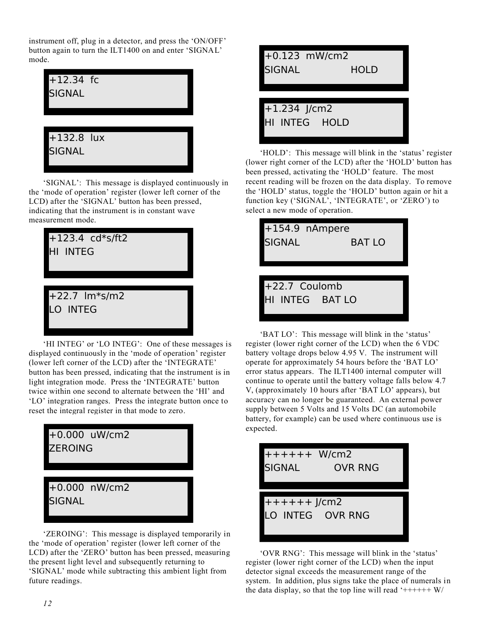instrument off, plug in a detector, and press the 'ON/OFF' button again to turn the ILT1400 on and enter 'SIGNAL' mode.

| $+12.34$ fc<br><b>SIGNAL</b>  |  |
|-------------------------------|--|
| $+132.8$ lux<br><b>SIGNAL</b> |  |

'SIGNAL': This message is displayed continuously in the 'mode of operation' register (lower left corner of the LCD) after the 'SIGNAL' button has been pressed, indicating that the instrument is in constant wave measurement mode.



'HI INTEG' or 'LO INTEG': One of these messages is displayed continuously in the 'mode of operation' register (lower left corner of the LCD) after the 'INTEGRATE' button has been pressed, indicating that the instrument is in light integration mode. Press the 'INTEGRATE' button twice within one second to alternate between the 'HI' and 'LO' integration ranges. Press the integrate button once to reset the integral register in that mode to zero.



'ZEROING': This message is displayed temporarily in the 'mode of operation' register (lower left corner of the LCD) after the 'ZERO' button has been pressed, measuring the present light level and subsequently returning to 'SIGNAL' mode while subtracting this ambient light from future readings.



'HOLD': This message will blink in the 'status' register (lower right corner of the LCD) after the 'HOLD' button has been pressed, activating the 'HOLD' feature. The most recent reading will be frozen on the data display. To remove the 'HOLD' status, toggle the 'HOLD' button again or hit a function key ('SIGNAL', 'INTEGRATE', or 'ZERO') to select a new mode of operation.



'BAT LO': This message will blink in the 'status' register (lower right corner of the LCD) when the 6 VDC battery voltage drops below 4.95 V. The instrument will operate for approximately 54 hours before the 'BAT LO' error status appears. The ILT1400 internal computer will continue to operate until the battery voltage falls below 4.7 V, (approximately 10 hours after 'BAT LO' appears), but accuracy can no longer be guaranteed. An external power supply between 5 Volts and 15 Volts DC (an automobile battery, for example) can be used where continuous use is expected.



'OVR RNG': This message will blink in the 'status' register (lower right corner of the LCD) when the input detector signal exceeds the measurement range of the system. In addition, plus signs take the place of numerals in the data display, so that the top line will read  $'$ ++++++ $W/$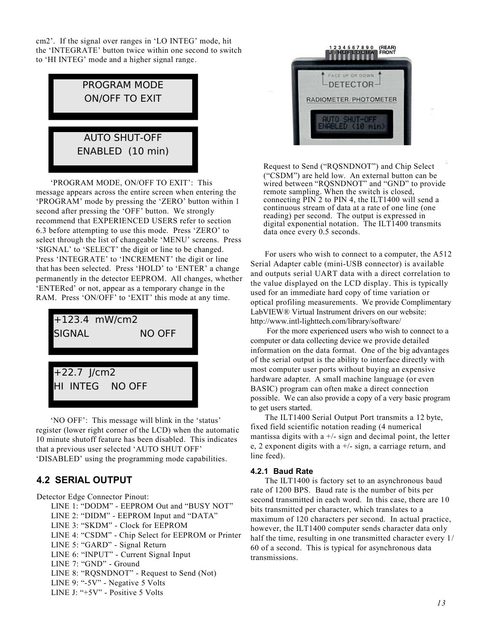cm2'. If the signal over ranges in 'LO INTEG' mode, hit the 'INTEGRATE' button twice within one second to switch to 'HI INTEG' mode and a higher signal range.



'PROGRAM MODE, ON/OFF TO EXIT': This message appears across the entire screen when entering the 'PROGRAM' mode by pressing the 'ZERO' button within 1 second after pressing the 'OFF' button. We strongly recommend that EXPERIENCED USERS refer to section 6.3 before attempting to use this mode. Press 'ZERO' to select through the list of changeable 'MENU' screens. Press 'SIGNAL' to 'SELECT' the digit or line to be changed. Press 'INTEGRATE' to 'INCREMENT' the digit or line that has been selected. Press 'HOLD' to 'ENTER' a change permanently in the detector EEPROM. All changes, whether 'ENTERed' or not, appear as a temporary change in the RAM. Press 'ON/OFF' to 'EXIT' this mode at any time.



'NO OFF': This message will blink in the 'status' register (lower right corner of the LCD) when the automatic 10 minute shutoff feature has been disabled. This indicates that a previous user selected 'AUTO SHUT OFF' 'DISABLED' using the programming mode capabilities.

## **4.2 SERIAL OUTPUT**

Detector Edge Connector Pinout:

LINE 1: "DODM" - EEPROM Out and "BUSY NOT" LINE 2: "DIDM" - EEPROM Input and "DATA" LINE 3: "SKDM" - Clock for EEPROM LINE 4: "CSDM" - Chip Select for EEPROM or Printer LINE 5: "GARD" - Signal Return LINE 6: "INPUT" - Current Signal Input LINE 7: "GND" - Ground LINE 8: "RQSNDNOT" - Request to Send (Not)

LINE 9: "-5V" - Negative 5 Volts LINE J: "+5V" - Positive 5 Volts

Request to Send ("RQSNDNOT") and Chip Select ("CSDM") are held low. An external button can be wired between "RQSNDNOT" and "GND" to provide remote sampling. When the switch is closed, connecting PIN 2 to PIN 4, the ILT1400 will send a continuous stream of data at a rate of one line (one reading) per second. The output is expressed in digital exponential notation. The ILT1400 transmits data once every 0.5 seconds.

1234567890 (REAR)<br>UIHGEEDCBA FRONT

FACE UP OR DOWN DETECTOR-RADIOMETER/PHOTOMETER

For users who wish to connect to a computer, the A512 Serial Adapter cable (mini-USB connector) is available and outputs serial UART data with a direct correlation to the value displayed on the LCD display. This is typically used for an immediate hard copy of time variation or optical profiling measurements. We provide Complimentary LabVIEW® Virtual Instrument drivers on our website: http://www.intl-lighttech.com/library/software/

 For the more experienced users who wish to connect to a computer or data collecting device we provide detailed information on the data format. One of the big advantages of the serial output is the ability to interface directly with most computer user ports without buying an expensive hardware adapter. A small machine language (or even BASIC) program can often make a direct connection possible. We can also provide a copy of a very basic program to get users started.

The ILT1400 Serial Output Port transmits a 12 byte, fixed field scientific notation reading (4 numerical mantissa digits with a  $+/-$  sign and decimal point, the letter e, 2 exponent digits with a  $+/-$  sign, a carriage return, and line feed).

#### **4.2.1 Baud Rate**

The ILT1400 is factory set to an asynchronous baud rate of 1200 BPS. Baud rate is the number of bits per second transmitted in each word. In this case, there are 10 bits transmitted per character, which translates to a maximum of 120 characters per second. In actual practice, however, the ILT1400 computer sends character data only half the time, resulting in one transmitted character every  $1/$ 60 of a second. This is typical for asynchronous data transmissions.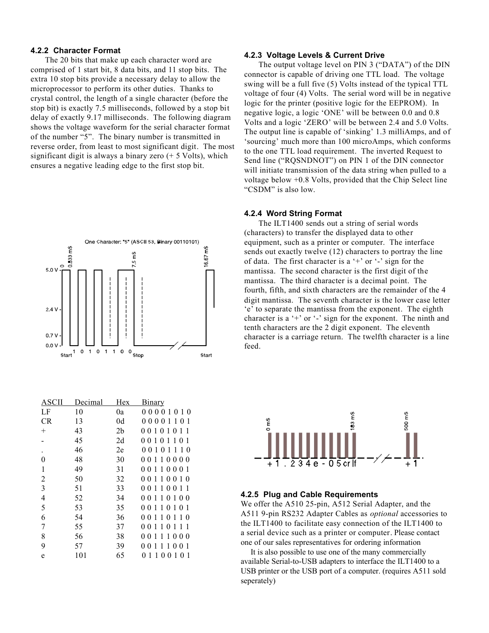#### **4.2.2 Character Format**

The 20 bits that make up each character word are comprised of 1 start bit, 8 data bits, and 11 stop bits. The extra 10 stop bits provide a necessary delay to allow the microprocessor to perform its other duties. Thanks to crystal control, the length of a single character (before the stop bit) is exactly 7.5 milliseconds, followed by a stop bit delay of exactly 9.17 milliseconds. The following diagram shows the voltage waveform for the serial character format of the number "5". The binary number is transmitted in reverse order, from least to most significant digit. The most significant digit is always a binary zero  $(+ 5$  Volts), which ensures a negative leading edge to the first stop bit.



| ASCII          | Decimal | Hex            | <u>Binary</u>                                              |
|----------------|---------|----------------|------------------------------------------------------------|
| LF             | 10      | 0a             | 00001010                                                   |
| <b>CR</b>      | 13      | 0d             | 00001101                                                   |
| $+$            | 43      | 2 <sub>b</sub> | 00101011                                                   |
|                | 45      | 2d             | 00101<br>101                                               |
|                | 46      | 2e             | 001<br>0 1 1 1 0                                           |
| 0              | 48      | 30             | 10000<br>001                                               |
| 1              | 49      | 31             | 10001<br>001                                               |
| $\overline{c}$ | 50      | 32             | 00110010                                                   |
| 3              | 51      | 33             | 001<br>1001<br>$\overline{1}$                              |
| $\overline{4}$ | 52      | 34             | 10100<br>001                                               |
| 5              | 53      | 35             | 001<br>10101                                               |
| 6              | 54      | 36             | 101<br>001<br>10                                           |
| 7              | 55      | 37             | 001<br>1<br>0 <sub>1</sub><br>-1-1                         |
| 8              | 56      | 38             | 0<br>$\theta$<br>1<br>1<br>000<br>1                        |
| 9              | 57      | 39             | 0<br>1<br>1<br>$\Omega$<br>1<br>0 <sub>1</sub><br>$\Omega$ |
| e              | 101     | 65             | 0<br>00101<br>$\mathbf{1}$<br>-1                           |

#### **4.2.3 Voltage Levels & Current Drive**

The output voltage level on PIN 3 ("DATA") of the DIN connector is capable of driving one TTL load. The voltage swing will be a full five (5) Volts instead of the typical TTL voltage of four (4) Volts. The serial word will be in negative logic for the printer (positive logic for the EEPROM). In negative logic, a logic 'ONE' will be between 0.0 and 0.8 Volts and a logic 'ZERO' will be between 2.4 and 5.0 Volts. The output line is capable of 'sinking' 1.3 milliAmps, and of 'sourcing' much more than 100 microAmps, which conforms to the one TTL load requirement. The inverted Request to Send line ("RQSNDNOT") on PIN 1 of the DIN connector will initiate transmission of the data string when pulled to a voltage below +0.8 Volts, provided that the Chip Select line "CSDM" is also low.

#### **4.2.4 Word String Format**

The ILT1400 sends out a string of serial words (characters) to transfer the displayed data to other equipment, such as a printer or computer. The interface sends out exactly twelve (12) characters to portray the line of data. The first character is a  $+$  or  $-$  sign for the mantissa. The second character is the first digit of the mantissa. The third character is a decimal point. The fourth, fifth, and sixth characters are the remainder of the 4 digit mantissa. The seventh character is the lower case letter 'e' to separate the mantissa from the exponent. The eighth character is a  $+$  or  $-$  sign for the exponent. The ninth and tenth characters are the 2 digit exponent. The eleventh character is a carriage return. The twelfth character is a line feed.



#### **4.2.5 Plug and Cable Requirements**

We offer the A510 25-pin, A512 Serial Adapter, and the A511 9-pin RS232 Adapter Cables as *optional* accessories to the ILT1400 to facilitate easy connection of the ILT1400 to a serial device such as a printer or computer. Please contact one of our sales representatives for ordering information

 It is also possible to use one of the many commercially available Serial-to-USB adapters to interface the ILT1400 to a USB printer or the USB port of a computer. (requires A511 sold seperately)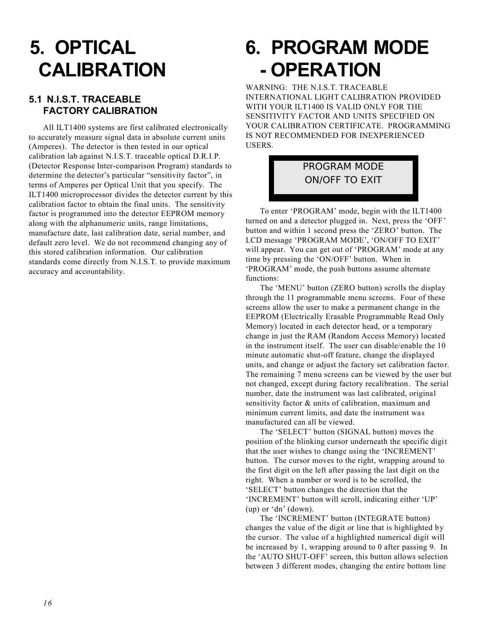# **5. OPTICAL CALIBRATION**

### **5.1 N.I.S.T. TRACEABLE FACTORY CALIBRATION**

All ILT1400 systems are first calibrated electronically to accurately measure signal data in absolute current units (Amperes). The detector is then tested in our optical calibration lab against N.I.S.T. traceable optical D.R.I.P. (Detector Response Inter-comparison Program) standards to determine the detector's particular "sensitivity factor", in terms of Amperes per Optical Unit that you specify. The ILT1400 microprocessor divides the detector current by this calibration factor to obtain the final units. The sensitivity factor is programmed into the detector EEPROM memory along with the alphanumeric units, range limitations, manufacture date, last calibration date, serial number, and default zero level. We do not recommend changing any of this stored calibration information. Our calibration standards come directly from N.I.S.T. to provide maximum accuracy and accountability.

# **6. PROGRAM MODE - OPERATION**

WARNING: THE N.I.S.T. TRACEABLE INTERNATIONAL LIGHT CALIBRATION PROVIDED WITH YOUR ILT1400 IS VALID ONLY FOR THE SENSITIVITY FACTOR AND UNITS SPECIFIED ON YOUR CALIBRATION CERTIFICATE. PROGRAMMING IS NOT RECOMMENDED FOR INEXPERIENCED USERS.

# PROGRAM MODE ON/OFF TO EXIT

To enter 'PROGRAM' mode, begin with the ILT1400 turned on and a detector plugged in. Next, press the 'OFF' button and within 1 second press the 'ZERO' button. The LCD message 'PROGRAM MODE', 'ON/OFF TO EXIT' will appear. You can get out of 'PROGRAM' mode at any time by pressing the 'ON/OFF' button. When in 'PROGRAM' mode, the push buttons assume alternate functions:

The 'MENU' button (ZERO button) scrolls the display through the 11 programmable menu screens. Four of these screens allow the user to make a permanent change in the EEPROM (Electrically Erasable Programmable Read Only Memory) located in each detector head, or a temporary change in just the RAM (Random Access Memory) located in the instrument itself. The user can disable/enable the 10 minute automatic shut-off feature, change the displayed units, and change or adjust the factory set calibration factor. The remaining 7 menu screens can be viewed by the user but not changed, except during factory recalibration. The serial number, date the instrument was last calibrated, original sensitivity factor & units of calibration, maximum and minimum current limits, and date the instrument was manufactured can all be viewed.

The 'SELECT' button (SIGNAL button) moves the position of the blinking cursor underneath the specific digit that the user wishes to change using the 'INCREMENT' button. The cursor moves to the right, wrapping around to the first digit on the left after passing the last digit on the right. When a number or word is to be scrolled, the 'SELECT' button changes the direction that the 'INCREMENT' button will scroll, indicating either 'UP' (up) or 'dn' (down).

The 'INCREMENT' button (INTEGRATE button) changes the value of the digit or line that is highlighted by the cursor. The value of a highlighted numerical digit will be increased by 1, wrapping around to 0 after passing 9. In the 'AUTO SHUT-OFF' screen, this button allows selection between 3 different modes, changing the entire bottom line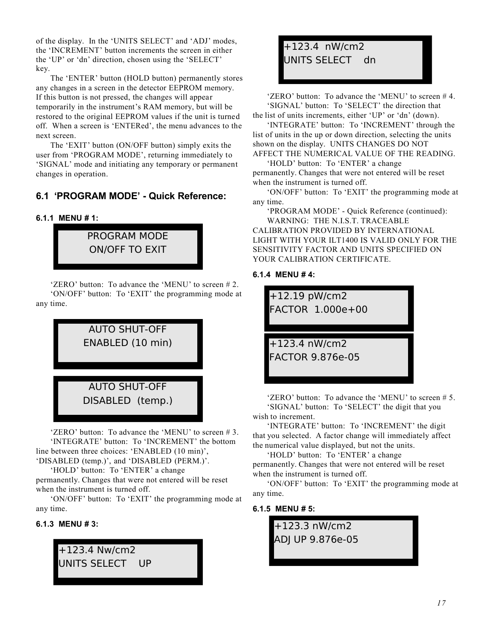of the display. In the 'UNITS SELECT' and 'ADJ' modes, the 'INCREMENT' button increments the screen in either the 'UP' or 'dn' direction, chosen using the 'SELECT' key.

The 'ENTER' button (HOLD button) permanently stores any changes in a screen in the detector EEPROM memory. If this button is not pressed, the changes will appear temporarily in the instrument's RAM memory, but will be restored to the original EEPROM values if the unit is turned off. When a screen is 'ENTERed', the menu advances to the next screen.

The 'EXIT' button (ON/OFF button) simply exits the user from 'PROGRAM MODE', returning immediately to 'SIGNAL' mode and initiating any temporary or permanent changes in operation.

# **6.1 'PROGRAM MODE' - Quick Reference:**

#### **6.1.1 MENU # 1:**



'ZERO' button: To advance the 'MENU' to screen # 2. 'ON/OFF' button: To 'EXIT' the programming mode at any time.



'ZERO' button: To advance the 'MENU' to screen # 3. 'INTEGRATE' button: To 'INCREMENT' the bottom line between three choices: 'ENABLED (10 min)', 'DISABLED (temp.)', and 'DISABLED (PERM.)'.

'HOLD' button: To 'ENTER' a change permanently. Changes that were not entered will be reset

when the instrument is turned off. 'ON/OFF' button: To 'EXIT' the programming mode at

#### **6.1.3 MENU # 3:**

any time.



# +123.4 nW/cm2 UNITS SELECT dn

'ZERO' button: To advance the 'MENU' to screen # 4. 'SIGNAL' button: To 'SELECT' the direction that the list of units increments, either 'UP' or 'dn' (down).

'INTEGRATE' button: To 'INCREMENT' through the list of units in the up or down direction, selecting the units shown on the display. UNITS CHANGES DO NOT AFFECT THE NUMERICAL VALUE OF THE READING.

'HOLD' button: To 'ENTER' a change permanently. Changes that were not entered will be reset when the instrument is turned off.

'ON/OFF' button: To 'EXIT' the programming mode at any time.

'PROGRAM MODE' - Quick Reference (continued): WARNING: THE N.I.S.T. TRACEABLE

CALIBRATION PROVIDED BY INTERNATIONAL LIGHT WITH YOUR ILT1400 IS VALID ONLY FOR THE SENSITIVITY FACTOR AND UNITS SPECIFIED ON YOUR CALIBRATION CERTIFICATE.

#### **6.1.4 MENU # 4:**



'ZERO' button: To advance the 'MENU' to screen # 5. 'SIGNAL' button: To 'SELECT' the digit that you wish to increment.

'INTEGRATE' button: To 'INCREMENT' the digit that you selected. A factor change will immediately affect the numerical value displayed, but not the units.

'HOLD' button: To 'ENTER' a change permanently. Changes that were not entered will be reset when the instrument is turned off.

'ON/OFF' button: To 'EXIT' the programming mode at any time.

#### **6.1.5 MENU # 5:**

+123.3 nW/cm2 ADJ UP 9.876e-05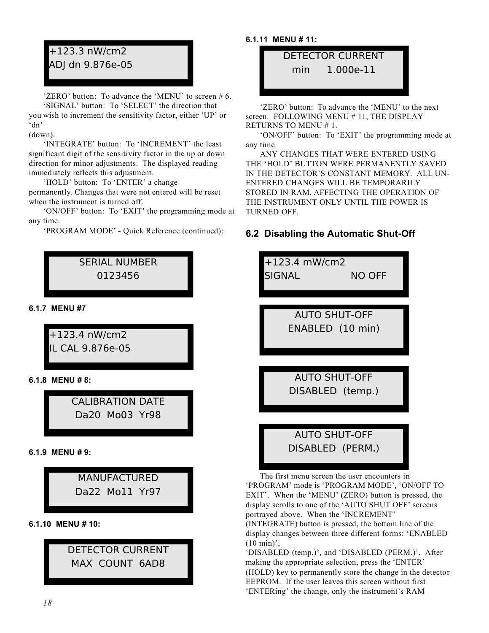# +123.3 nW/cm2 ADJ dn 9.876e-05

'ZERO' button: To advance the 'MENU' to screen # 6. 'SIGNAL' button: To 'SELECT' the direction that

you wish to increment the sensitivity factor, either 'UP' or 'dn'

(down).

'INTEGRATE' button: To 'INCREMENT' the least significant digit of the sensitivity factor in the up or down direction for minor adjustments. The displayed reading immediately reflects this adjustment.

'HOLD' button: To 'ENTER' a change

permanently. Changes that were not entered will be reset when the instrument is turned off.

'ON/OFF' button: To 'EXIT' the programming mode at any time.

'PROGRAM MODE' - Quick Reference (continued):

# SERIAL NUMBER 0123456

**6.1.7 MENU #7**

+123.4 nW/cm2 IL CAL 9.876e-05

**6.1.8 MENU # 8:**

CALIBRATION DATE Da20 Mo03 Yr98

**6.1.9 MENU # 9:**



**6.1.10 MENU # 10:**

# DETECTOR CURRENT MAX COUNT 6AD8

## **6.1.11 MENU # 11:**

DETECTOR CURRENT min 1.000e-11

'ZERO' button: To advance the 'MENU' to the next screen. FOLLOWING MENU # 11, THE DISPLAY RETURNS TO MENU # 1.

'ON/OFF' button: To 'EXIT' the programming mode at any time.

ANY CHANGES THAT WERE ENTERED USING THE 'HOLD' BUTTON WERE PERMANENTLY SAVED IN THE DETECTOR'S CONSTANT MEMORY. ALL UN-ENTERED CHANGES WILL BE TEMPORARILY STORED IN RAM, AFFECTING THE OPERATION OF THE INSTRUMENT ONLY UNTIL THE POWER IS TURNED OFF.

# **6.2 Disabling the Automatic Shut-Off**

+123.4 mW/cm2 SIGNAL NO OFF AUTO SHUT-OFF ENABLED (10 min) AUTO SHUT-OFF DISABLED (temp.) AUTO SHUT-OFF DISABLED (PERM.)

The first menu screen the user encounters in 'PROGRAM' mode is 'PROGRAM MODE', 'ON/OFF TO EXIT'. When the 'MENU' (ZERO) button is pressed, the display scrolls to one of the 'AUTO SHUT OFF' screens portrayed above. When the 'INCREMENT' (INTEGRATE) button is pressed, the bottom line of the display changes between three different forms: 'ENABLED (10 min)',

'DISABLED (temp.)', and 'DISABLED (PERM.)'. After making the appropriate selection, press the 'ENTER' (HOLD) key to permanently store the change in the detector EEPROM. If the user leaves this screen without first 'ENTERing' the change, only the instrument's RAM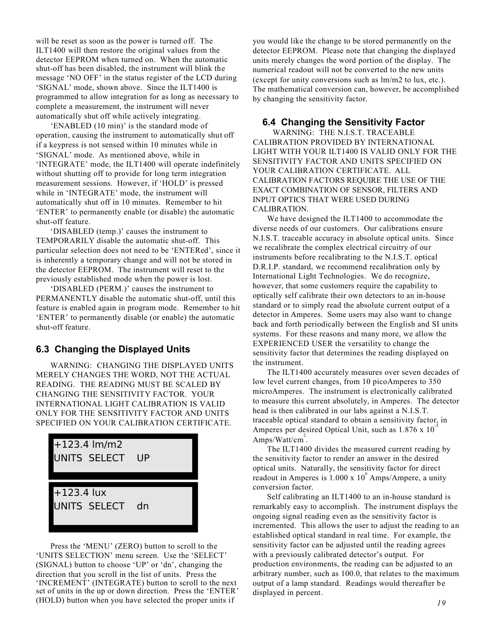will be reset as soon as the power is turned off. The ILT1400 will then restore the original values from the detector EEPROM when turned on. When the automatic shut-off has been disabled, the instrument will blink the message 'NO OFF' in the status register of the LCD during 'SIGNAL' mode, shown above. Since the ILT1400 is programmed to allow integration for as long as necessary to complete a measurement, the instrument will never automatically shut off while actively integrating.

'ENABLED (10 min)' is the standard mode of operation, causing the instrument to automatically shut off if a keypress is not sensed within 10 minutes while in 'SIGNAL' mode. As mentioned above, while in 'INTEGRATE' mode, the ILT1400 will operate indefinitely without shutting off to provide for long term integration measurement sessions. However, if 'HOLD' is pressed while in 'INTEGRATE' mode, the instrument will automatically shut off in 10 minutes. Remember to hit 'ENTER' to permanently enable (or disable) the automatic shut-off feature.

'DISABLED (temp.)' causes the instrument to TEMPORARILY disable the automatic shut-off. This particular selection does not need to be 'ENTERed', since it is inherently a temporary change and will not be stored in the detector EEPROM. The instrument will reset to the previously established mode when the power is lost.

'DISABLED (PERM.)' causes the instrument to PERMANENTLY disable the automatic shut-off, until this feature is enabled again in program mode. Remember to hit 'ENTER' to permanently disable (or enable) the automatic shut-off feature.

### **6.3 Changing the Displayed Units**

WARNING: CHANGING THE DISPLAYED UNITS MERELY CHANGES THE WORD, NOT THE ACTUAL READING. THE READING MUST BE SCALED BY CHANGING THE SENSITIVITY FACTOR. YOUR INTERNATIONAL LIGHT CALIBRATION IS VALID ONLY FOR THE SENSITIVITY FACTOR AND UNITS SPECIFIED ON YOUR CALIBRATION CERTIFICATE.



Press the 'MENU' (ZERO) button to scroll to the 'UNITS SELECTION' menu screen. Use the 'SELECT' (SIGNAL) button to choose 'UP' or 'dn', changing the direction that you scroll in the list of units. Press the 'INCREMENT' (INTEGRATE) button to scroll to the next set of units in the up or down direction. Press the 'ENTER' (HOLD) button when you have selected the proper units if

you would like the change to be stored permanently on the detector EEPROM. Please note that changing the displayed units merely changes the word portion of the display. The numerical readout will not be converted to the new units (except for unity conversions such as lm/m2 to lux, etc.). The mathematical conversion can, however, be accomplished by changing the sensitivity factor.

### **6.4 Changing the Sensitivity Factor**

WARNING: THE N.I.S.T. TRACEABLE CALIBRATION PROVIDED BY INTERNATIONAL LIGHT WITH YOUR ILT1400 IS VALID ONLY FOR THE SENSITIVITY FACTOR AND UNITS SPECIFIED ON YOUR CALIBRATION CERTIFICATE. ALL CALIBRATION FACTORS REQUIRE THE USE OF THE EXACT COMBINATION OF SENSOR, FILTERS AND INPUT OPTICS THAT WERE USED DURING CALIBRATION.

We have designed the ILT1400 to accommodate the diverse needs of our customers. Our calibrations ensure N.I.S.T. traceable accuracy in absolute optical units. Since we recalibrate the complex electrical circuitry of our instruments before recalibrating to the N.I.S.T. optical D.R.I.P. standard, we recommend recalibration only by International Light Technologies. We do recognize, however, that some customers require the capability to optically self calibrate their own detectors to an in-house standard or to simply read the absolute current output of a detector in Amperes. Some users may also want to change back and forth periodically between the English and SI units systems. For these reasons and many more, we allow the EXPERIENCED USER the versatility to change the sensitivity factor that determines the reading displayed on the instrument.

The ILT1400 accurately measures over seven decades of low level current changes, from 10 picoAmperes to 350 microAmperes. The instrument is electronically calibrated to measure this current absolutely, in Amperes. The detector head is then calibrated in our labs against a N.I.S.T. traceable optical standard to obtain a sensitivity factor, in Amperes per desired Optical Unit, such as  $1.876 \times 10^{-3}$ Amps/Watt/cm<sup>2</sup>.

The ILT1400 divides the measured current reading by the sensitivity factor to render an answer in the desired optical units. Naturally, the sensitivity factor for direct readout in Amperes is  $1.000 \times 10^{\circ}$  Amps/Ampere, a unity conversion factor.

Self calibrating an ILT1400 to an in-house standard is remarkably easy to accomplish. The instrument displays the ongoing signal reading even as the sensitivity factor is incremented. This allows the user to adjust the reading to an established optical standard in real time. For example, the sensitivity factor can be adjusted until the reading agrees with a previously calibrated detector's output. For production environments, the reading can be adjusted to an arbitrary number, such as 100.0, that relates to the maximum output of a lamp standard. Readings would thereafter be displayed in percent.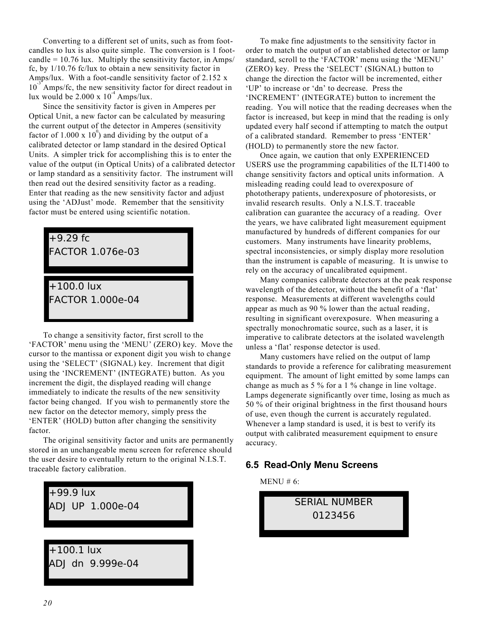Converting to a different set of units, such as from footcandles to lux is also quite simple. The conversion is 1 footcandle =  $10.76$  lux. Multiply the sensitivity factor, in Amps/ fc, by 1/10.76 fc/lux to obtain a new sensitivity factor in Amps/lux. With a foot-candle sensitivity factor of 2.152 x  $10^{-3}$ <sup>A</sup> Amps/fc, the new sensitivity factor for direct readout in lux would be  $2.000 \times 10^{-4}$  Amps/lux.

Since the sensitivity factor is given in Amperes per Optical Unit, a new factor can be calculated by measuring the current output of the detector in Amperes (sensitivity factor of  $1.000 \times 10^{0}$  and dividing by the output of a calibrated detector or lamp standard in the desired Optical Units. A simpler trick for accomplishing this is to enter the value of the output (in Optical Units) of a calibrated detector or lamp standard as a sensitivity factor. The instrument will then read out the desired sensitivity factor as a reading. Enter that reading as the new sensitivity factor and adjust using the 'ADJust' mode. Remember that the sensitivity factor must be entered using scientific notation.

| $+9.29$ fc<br><b>FACTOR 1.076e-03</b> |
|---------------------------------------|
|                                       |
| $+100.0$ lux                          |
| <b>FACTOR 1.000e-04</b>               |
|                                       |

To change a sensitivity factor, first scroll to the 'FACTOR' menu using the 'MENU' (ZERO) key. Move the cursor to the mantissa or exponent digit you wish to change using the 'SELECT' (SIGNAL) key. Increment that digit using the 'INCREMENT' (INTEGRATE) button. As you increment the digit, the displayed reading will change immediately to indicate the results of the new sensitivity factor being changed. If you wish to permanently store the new factor on the detector memory, simply press the 'ENTER' (HOLD) button after changing the sensitivity factor.

The original sensitivity factor and units are permanently stored in an unchangeable menu screen for reference should the user desire to eventually return to the original N.I.S.T. traceable factory calibration.



To make fine adjustments to the sensitivity factor in order to match the output of an established detector or lamp standard, scroll to the 'FACTOR' menu using the 'MENU' (ZERO) key. Press the 'SELECT' (SIGNAL) button to change the direction the factor will be incremented, either 'UP' to increase or 'dn' to decrease. Press the 'INCREMENT' (INTEGRATE) button to increment the reading. You will notice that the reading decreases when the factor is increased, but keep in mind that the reading is only updated every half second if attempting to match the output of a calibrated standard. Remember to press 'ENTER' (HOLD) to permanently store the new factor.

Once again, we caution that only EXPERIENCED USERS use the programming capabilities of the ILT1400 to change sensitivity factors and optical units information. A misleading reading could lead to overexposure of phototherapy patients, underexposure of photoresists, or invalid research results. Only a N.I.S.T. traceable calibration can guarantee the accuracy of a reading. Over the years, we have calibrated light measurement equipment manufactured by hundreds of different companies for our customers. Many instruments have linearity problems, spectral inconsistencies, or simply display more resolution than the instrument is capable of measuring. It is unwise to rely on the accuracy of uncalibrated equipment.

Many companies calibrate detectors at the peak response wavelength of the detector, without the benefit of a 'flat' response. Measurements at different wavelengths could appear as much as 90 % lower than the actual reading, resulting in significant overexposure. When measuring a spectrally monochromatic source, such as a laser, it is imperative to calibrate detectors at the isolated wavelength unless a 'flat' response detector is used.

Many customers have relied on the output of lamp standards to provide a reference for calibrating measurement equipment. The amount of light emitted by some lamps can change as much as 5 % for a 1 % change in line voltage. Lamps degenerate significantly over time, losing as much as 50 % of their original brightness in the first thousand hours of use, even though the current is accurately regulated. Whenever a lamp standard is used, it is best to verify its output with calibrated measurement equipment to ensure accuracy.

#### **6.5 Read-Only Menu Screens**

MENU # 6:

SERIAL NUMBER 0123456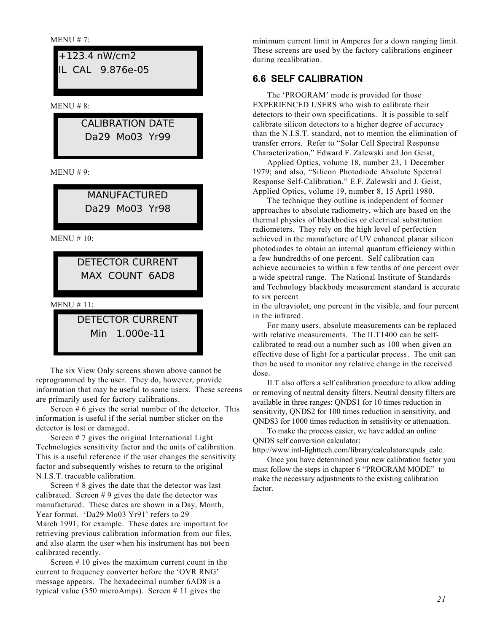MENU # 10: MENU # 11: MENU # 8: MENU # 9: +123.4 nW/cm2 IL CAL 9.876e-05 CALIBRATION DATE Da29 Mo03 Yr99 MANUFACTURED Da29 Mo03 Yr98 DETECTOR CURRENT MAX COUNT 6AD8 DETECTOR CURRENT Min 1.000e-11

The six View Only screens shown above cannot be reprogrammed by the user. They do, however, provide information that may be useful to some users. These screens are primarily used for factory calibrations.

Screen  $# 6$  gives the serial number of the detector. This information is useful if the serial number sticker on the detector is lost or damaged.

Screen # 7 gives the original International Light Technologies sensitivity factor and the units of calibration. This is a useful reference if the user changes the sensitivity factor and subsequently wishes to return to the original N.I.S.T. traceable calibration.

Screen # 8 gives the date that the detector was last calibrated. Screen  $# 9$  gives the date the detector was manufactured. These dates are shown in a Day, Month, Year format. 'Da29 Mo03 Yr91' refers to 29 March 1991, for example. These dates are important for retrieving previous calibration information from our files, and also alarm the user when his instrument has not been calibrated recently.

Screen # 10 gives the maximum current count in the current to frequency converter before the 'OVR RNG' message appears. The hexadecimal number 6AD8 is a typical value (350 microAmps). Screen # 11 gives the

MENU # 7: minimum current limit in Amperes for a down ranging limit. These screens are used by the factory calibrations engineer during recalibration.

### **6.6 SELF CALIBRATION**

The 'PROGRAM' mode is provided for those EXPERIENCED USERS who wish to calibrate their detectors to their own specifications. It is possible to self calibrate silicon detectors to a higher degree of accuracy than the N.I.S.T. standard, not to mention the elimination of transfer errors. Refer to "Solar Cell Spectral Response Characterization," Edward F. Zalewski and Jon Geist,

Applied Optics, volume 18, number 23, 1 December 1979; and also, "Silicon Photodiode Absolute Spectral Response Self-Calibration," E.F. Zalewski and J. Geist, Applied Optics, volume 19, number 8, 15 April 1980.

The technique they outline is independent of former approaches to absolute radiometry, which are based on the thermal physics of blackbodies or electrical substitution radiometers. They rely on the high level of perfection achieved in the manufacture of UV enhanced planar silicon photodiodes to obtain an internal quantum efficiency within a few hundredths of one percent. Self calibration can achieve accuracies to within a few tenths of one percent over a wide spectral range. The National Institute of Standards and Technology blackbody measurement standard is accurate to six percent

in the ultraviolet, one percent in the visible, and four percent in the infrared.

For many users, absolute measurements can be replaced with relative measurements. The ILT1400 can be selfcalibrated to read out a number such as 100 when given an effective dose of light for a particular process. The unit can then be used to monitor any relative change in the received dose.

ILT also offers a self calibration procedure to allow adding or removing of neutral density filters. Neutral density filters are available in three ranges: QNDS1 for 10 times reduction in sensitivity, QNDS2 for 100 times reduction in sensitivity, and QNDS3 for 1000 times reduction in sensitivity or attenuation.

To make the process easier, we have added an online QNDS self conversion calculator:

http://www.intl-lighttech.com/library/calculators/qnds\_calc.

Once you have determined your new calibration factor you must follow the steps in chapter 6 "PROGRAM MODE" to make the necessary adjustments to the existing calibration factor.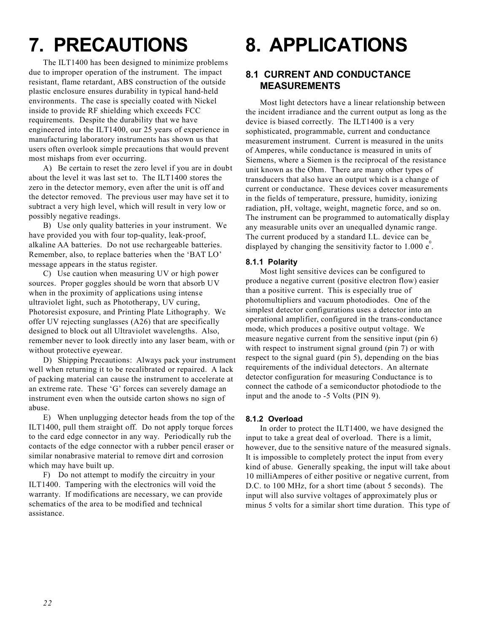# **7. PRECAUTIONS**

The ILT1400 has been designed to minimize problems due to improper operation of the instrument. The impact resistant, flame retardant, ABS construction of the outside plastic enclosure ensures durability in typical hand-held environments. The case is specially coated with Nickel inside to provide RF shielding which exceeds FCC requirements. Despite the durability that we have engineered into the ILT1400, our 25 years of experience in manufacturing laboratory instruments has shown us that users often overlook simple precautions that would prevent most mishaps from ever occurring.

A) Be certain to reset the zero level if you are in doubt about the level it was last set to. The ILT1400 stores the zero in the detector memory, even after the unit is off and the detector removed. The previous user may have set it to subtract a very high level, which will result in very low or possibly negative readings.

B) Use only quality batteries in your instrument. We have provided you with four top-quality, leak-proof, alkaline AA batteries. Do not use rechargeable batteries. Remember, also, to replace batteries when the 'BAT LO' message appears in the status register.

C) Use caution when measuring UV or high power sources. Proper goggles should be worn that absorb UV when in the proximity of applications using intense ultraviolet light, such as Phototherapy, UV curing, Photoresist exposure, and Printing Plate Lithography. We offer UV rejecting sunglasses (A26) that are specifically designed to block out all Ultraviolet wavelengths. Also, remember never to look directly into any laser beam, with or without protective eyewear.

D) Shipping Precautions: Always pack your instrument well when returning it to be recalibrated or repaired. A lack of packing material can cause the instrument to accelerate at an extreme rate. These 'G' forces can severely damage an instrument even when the outside carton shows no sign of abuse.

E) When unplugging detector heads from the top of the ILT1400, pull them straight off. Do not apply torque forces to the card edge connector in any way. Periodically rub the contacts of the edge connector with a rubber pencil eraser or similar nonabrasive material to remove dirt and corrosion which may have built up.

F) Do not attempt to modify the circuitry in your ILT1400. Tampering with the electronics will void the warranty. If modifications are necessary, we can provide schematics of the area to be modified and technical assistance.

# **8. APPLICATIONS**

# **8.1 CURRENT AND CONDUCTANCE MEASUREMENTS**

Most light detectors have a linear relationship between the incident irradiance and the current output as long as the device is biased correctly. The ILT1400 is a very sophisticated, programmable, current and conductance measurement instrument. Current is measured in the units of Amperes, while conductance is measured in units of Siemens, where a Siemen is the reciprocal of the resistance unit known as the Ohm. There are many other types of transducers that also have an output which is a change of current or conductance. These devices cover measurements in the fields of temperature, pressure, humidity, ionizing radiation, pH, voltage, weight, magnetic force, and so on. The instrument can be programmed to automatically display any measurable units over an unequalled dynamic range. The current produced by a standard I.L. device can be displayed by changing the sensitivity factor to 1.000  $e^{\degree}$ .

#### **8.1.1 Polarity**

Most light sensitive devices can be configured to produce a negative current (positive electron flow) easier than a positive current. This is especially true of photomultipliers and vacuum photodiodes. One of the simplest detector configurations uses a detector into an operational amplifier, configured in the trans-conductance mode, which produces a positive output voltage. We measure negative current from the sensitive input (pin 6) with respect to instrument signal ground (pin 7) or with respect to the signal guard (pin 5), depending on the bias requirements of the individual detectors. An alternate detector configuration for measuring Conductance is to connect the cathode of a semiconductor photodiode to the input and the anode to -5 Volts (PIN 9).

#### **8.1.2 Overload**

In order to protect the ILT1400, we have designed the input to take a great deal of overload. There is a limit, however, due to the sensitive nature of the measured signals. It is impossible to completely protect the input from every kind of abuse. Generally speaking, the input will take about 10 milliAmperes of either positive or negative current, from D.C. to 100 MHz, for a short time (about 5 seconds). The input will also survive voltages of approximately plus or minus 5 volts for a similar short time duration. This type of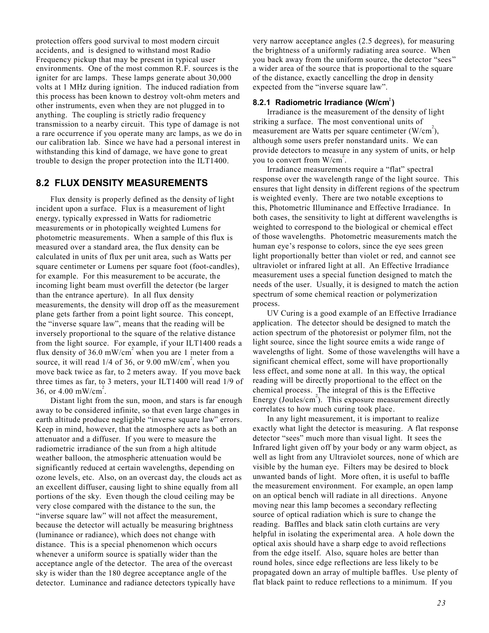protection offers good survival to most modern circuit accidents, and is designed to withstand most Radio Frequency pickup that may be present in typical user environments. One of the most common R.F. sources is the igniter for arc lamps. These lamps generate about 30,000 volts at 1 MHz during ignition. The induced radiation from this process has been known to destroy volt-ohm meters and other instruments, even when they are not plugged in to anything. The coupling is strictly radio frequency transmission to a nearby circuit. This type of damage is not a rare occurrence if you operate many arc lamps, as we do in our calibration lab. Since we have had a personal interest in withstanding this kind of damage, we have gone to great trouble to design the proper protection into the ILT1400.

#### **8.2 FLUX DENSITY MEASUREMENTS**

Flux density is properly defined as the density of light incident upon a surface. Flux is a measurement of light energy, typically expressed in Watts for radiometric measurements or in photopically weighted Lumens for photometric measurements. When a sample of this flux is measured over a standard area, the flux density can be calculated in units of flux per unit area, such as Watts per square centimeter or Lumens per square foot (foot-candles), for example. For this measurement to be accurate, the incoming light beam must overfill the detector (be larger than the entrance aperture). In all flux density measurements, the density will drop off as the measurement plane gets farther from a point light source. This concept, the "inverse square law", means that the reading will be inversely proportional to the square of the relative distance from the light source. For example, if your ILT1400 reads a flux density of 36.0 mW/cm<sup>2</sup> when you are 1 meter from a source, it will read  $1/4$  of 36, or 9.00 mW/cm<sup>2</sup>, when you move back twice as far, to 2 meters away. If you move back three times as far, to 3 meters, your ILT1400 will read 1/9 of 36, or  $4.00 \text{ mW/cm}^2$ .

Distant light from the sun, moon, and stars is far enough away to be considered infinite, so that even large changes in earth altitude produce negligible "inverse square law" errors. Keep in mind, however, that the atmosphere acts as both an attenuator and a diffuser. If you were to measure the radiometric irradiance of the sun from a high altitude weather balloon, the atmospheric attenuation would be significantly reduced at certain wavelengths, depending on ozone levels, etc. Also, on an overcast day, the clouds act as an excellent diffuser, causing light to shine equally from all portions of the sky. Even though the cloud ceiling may be very close compared with the distance to the sun, the "inverse square law" will not affect the measurement, because the detector will actually be measuring brightness (luminance or radiance), which does not change with distance. This is a special phenomenon which occurs whenever a uniform source is spatially wider than the acceptance angle of the detector. The area of the overcast sky is wider than the 180 degree acceptance angle of the detector. Luminance and radiance detectors typically have

very narrow acceptance angles (2.5 degrees), for measuring the brightness of a uniformly radiating area source. When you back away from the uniform source, the detector "sees" a wider area of the source that is proportional to the square of the distance, exactly cancelling the drop in density expected from the "inverse square law".

#### **8.2.1 Radiometric Irradiance (W/cm 2 )**

Irradiance is the measurement of the density of light striking a surface. The most conventional units of measurement are Watts per square centimeter  $(W/cm^2)$ , although some users prefer nonstandard units. We can provide detectors to measure in any system of units, or help you to convert from  $W/cm^2$ .

Irradiance measurements require a "flat" spectral response over the wavelength range of the light source. This ensures that light density in different regions of the spectrum is weighted evenly. There are two notable exceptions to this, Photometric Illuminance and Effective Irradiance. In both cases, the sensitivity to light at different wavelengths is weighted to correspond to the biological or chemical effect of those wavelengths. Photometric measurements match the human eye's response to colors, since the eye sees green light proportionally better than violet or red, and cannot see ultraviolet or infrared light at all. An Effective Irradiance measurement uses a special function designed to match the needs of the user. Usually, it is designed to match the action spectrum of some chemical reaction or polymerization process.

UV Curing is a good example of an Effective Irradiance application. The detector should be designed to match the action spectrum of the photoresist or polymer film, not the light source, since the light source emits a wide range of wavelengths of light. Some of those wavelengths will have a significant chemical effect, some will have proportionally less effect, and some none at all. In this way, the optical reading will be directly proportional to the effect on the chemical process. The integral of this is the Effective Energy (Joules/cm<sup>2</sup>). This exposure measurement directly correlates to how much curing took place.

In any light measurement, it is important to realize exactly what light the detector is measuring. A flat response detector "sees" much more than visual light. It sees the Infrared light given off by your body or any warm object, as well as light from any Ultraviolet sources, none of which are visible by the human eye. Filters may be desired to block unwanted bands of light. More often, it is useful to baffle the measurement environment. For example, an open lamp on an optical bench will radiate in all directions. Anyone moving near this lamp becomes a secondary reflecting source of optical radiation which is sure to change the reading. Baffles and black satin cloth curtains are very helpful in isolating the experimental area. A hole down the optical axis should have a sharp edge to avoid reflections from the edge itself. Also, square holes are better than round holes, since edge reflections are less likely to be propagated down an array of multiple baffles. Use plenty of flat black paint to reduce reflections to a minimum. If you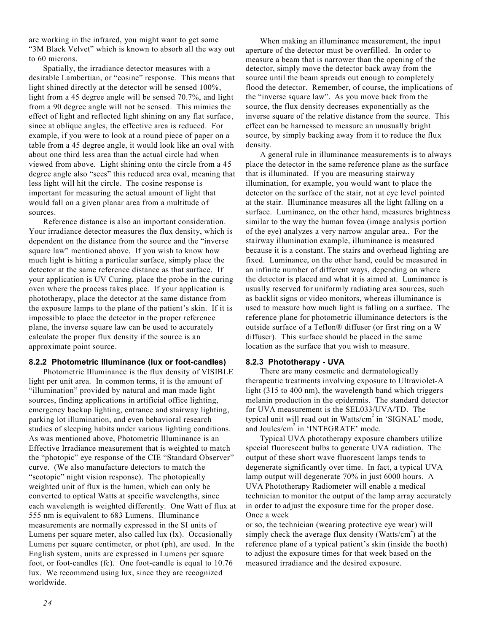are working in the infrared, you might want to get some "3M Black Velvet" which is known to absorb all the way out to 60 microns.

Spatially, the irradiance detector measures with a desirable Lambertian, or "cosine" response. This means that light shined directly at the detector will be sensed 100%, light from a 45 degree angle will be sensed 70.7%, and light from a 90 degree angle will not be sensed. This mimics the effect of light and reflected light shining on any flat surface, since at oblique angles, the effective area is reduced. For example, if you were to look at a round piece of paper on a table from a 45 degree angle, it would look like an oval with about one third less area than the actual circle had when viewed from above. Light shining onto the circle from a 45 degree angle also "sees" this reduced area oval, meaning that less light will hit the circle. The cosine response is important for measuring the actual amount of light that would fall on a given planar area from a multitude of sources.

Reference distance is also an important consideration. Your irradiance detector measures the flux density, which is dependent on the distance from the source and the "inverse square law" mentioned above. If you wish to know how much light is hitting a particular surface, simply place the detector at the same reference distance as that surface. If your application is UV Curing, place the probe in the curing oven where the process takes place. If your application is phototherapy, place the detector at the same distance from the exposure lamps to the plane of the patient's skin. If it is impossible to place the detector in the proper reference plane, the inverse square law can be used to accurately calculate the proper flux density if the source is an approximate point source.

#### **8.2.2 Photometric Illuminance (lux or foot-candles)**

Photometric Illuminance is the flux density of VISIBLE light per unit area. In common terms, it is the amount of "illumination" provided by natural and man made light sources, finding applications in artificial office lighting, emergency backup lighting, entrance and stairway lighting, parking lot illumination, and even behavioral research studies of sleeping habits under various lighting conditions. As was mentioned above, Photometric Illuminance is an Effective Irradiance measurement that is weighted to match the "photopic" eye response of the CIE "Standard Observer" curve. (We also manufacture detectors to match the "scotopic" night vision response). The photopically weighted unit of flux is the lumen, which can only be converted to optical Watts at specific wavelengths, since each wavelength is weighted differently. One Watt of flux at 555 nm is equivalent to 683 Lumens. Illuminance measurements are normally expressed in the SI units of Lumens per square meter, also called lux (lx). Occasionally Lumens per square centimeter, or phot (ph), are used. In the English system, units are expressed in Lumens per square foot, or foot-candles (fc). One foot-candle is equal to 10.76 lux. We recommend using lux, since they are recognized worldwide.

When making an illuminance measurement, the input aperture of the detector must be overfilled. In order to measure a beam that is narrower than the opening of the detector, simply move the detector back away from the source until the beam spreads out enough to completely flood the detector. Remember, of course, the implications of the "inverse square law". As you move back from the source, the flux density decreases exponentially as the inverse square of the relative distance from the source. This effect can be harnessed to measure an unusually bright source, by simply backing away from it to reduce the flux density.

A general rule in illuminance measurements is to always place the detector in the same reference plane as the surface that is illuminated. If you are measuring stairway illumination, for example, you would want to place the detector on the surface of the stair, not at eye level pointed at the stair. Illuminance measures all the light falling on a surface. Luminance, on the other hand, measures brightness similar to the way the human fovea (image analysis portion of the eye) analyzes a very narrow angular area.. For the stairway illumination example, illuminance is measured because it is a constant. The stairs and overhead lighting are fixed. Luminance, on the other hand, could be measured in an infinite number of different ways, depending on where the detector is placed and what it is aimed at. Luminance is usually reserved for uniformly radiating area sources, such as backlit signs or video monitors, whereas illuminance is used to measure how much light is falling on a surface. The reference plane for photometric illuminance detectors is the outside surface of a Teflon® diffuser (or first ring on a W diffuser). This surface should be placed in the same location as the surface that you wish to measure.

#### **8.2.3 Phototherapy - UVA**

There are many cosmetic and dermatologically therapeutic treatments involving exposure to Ultraviolet-A light (315 to 400 nm), the wavelength band which triggers melanin production in the epidermis. The standard detector for UVA measurement is the SEL033/UVA/TD. The typical unit will read out in Watts/cm<sup>2</sup> in 'SIGNAL' mode, and Joules/cm<sup>2</sup> in 'INTEGRATE' mode.

Typical UVA phototherapy exposure chambers utilize special fluorescent bulbs to generate UVA radiation. The output of these short wave fluorescent lamps tends to degenerate significantly over time. In fact, a typical UVA lamp output will degenerate 70% in just 6000 hours. A UVA Phototherapy Radiometer will enable a medical technician to monitor the output of the lamp array accurately in order to adjust the exposure time for the proper dose. Once a week

or so, the technician (wearing protective eye wear) will simply check the average flux density (Watts/cm<sup>2</sup>) at the reference plane of a typical patient's skin (inside the booth) to adjust the exposure times for that week based on the measured irradiance and the desired exposure.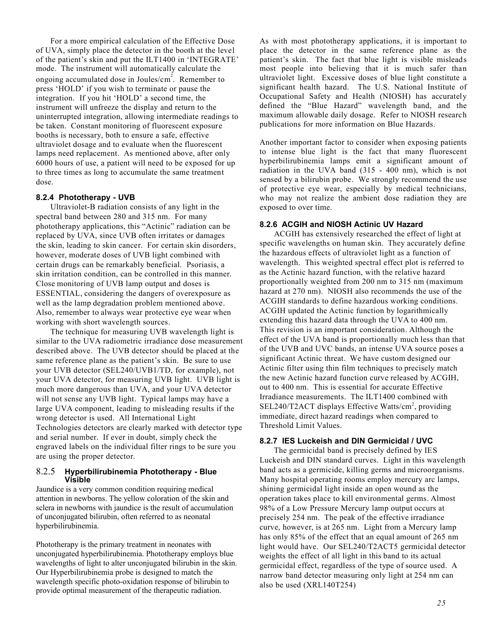For a more empirical calculation of the Effective Dose of UVA, simply place the detector in the booth at the level of the patient's skin and put the ILT1400 in 'INTEGRATE' mode. The instrument will automatically calculate the ongoing accumulated dose in Joules/cm<sup>2</sup>. Remember to press 'HOLD' if you wish to terminate or pause the integration. If you hit 'HOLD' a second time, the instrument will unfreeze the display and return to the uninterrupted integration, allowing intermediate readings to be taken. Constant monitoring of fluorescent exposure booths is necessary, both to ensure a safe, effective ultraviolet dosage and to evaluate when the fluorescent lamps need replacement. As mentioned above, after only 6000 hours of use, a patient will need to be exposed for up to three times as long to accumulate the same treatment dose.

#### **8.2.4 Phototherapy - UVB**

Ultraviolet-B radiation consists of any light in the spectral band between 280 and 315 nm. For many phototherapy applications, this "Actinic" radiation can be replaced by UVA, since UVB often irritates or damages the skin, leading to skin cancer. For certain skin disorders, however, moderate doses of UVB light combined with certain drugs can be remarkably beneficial. Psoriasis, a skin irritation condition, can be controlled in this manner. Close monitoring of UVB lamp output and doses is ESSENTIAL, considering the dangers of overexposure as well as the lamp degradation problem mentioned above. Also, remember to always wear protective eye wear when working with short wavelength sources.

The technique for measuring UVB wavelength light is similar to the UVA radiometric irradiance dose measurement described above. The UVB detector should be placed at the same reference plane as the patient's skin. Be sure to use your UVB detector (SEL240/UVB1/TD, for example), not your UVA detector, for measuring UVB light. UVB light is much more dangerous than UVA, and your UVA detector will not sense any UVB light. Typical lamps may have a large UVA component, leading to misleading results if the wrong detector is used. All International Light Technologies detectors are clearly marked with detector type and serial number. If ever in doubt, simply check the engraved labels on the individual filter rings to be sure you are using the proper detector.

#### 8.2.5 **Hyperbilirubinemia Phototherapy - Blue Visible**

Jaundice is a very common condition requiring medical attention in newborns. The yellow coloration of the skin and sclera in newborns with jaundice is the result of accumulation of unconjugated bilirubin, often referred to as neonatal hyperbilirubinemia.

Phototherapy is the primary treatment in neonates with unconjugated hyperbilirubinemia. Phototherapy employs blue wavelengths of light to alter unconjugated bilirubin in the skin. Our Hyperbilirubinemia probe is designed to match the wavelength specific photo-oxidation response of bilirubin to provide optimal measurement of the therapeutic radiation.

As with most phototherapy applications, it is important to place the detector in the same reference plane as the patient's skin. The fact that blue light is visible misleads most people into believing that it is much safer than ultraviolet light. Excessive doses of blue light constitute a significant health hazard. The U.S. National Institute of Occupational Safety and Health (NIOSH) has accurately defined the "Blue Hazard" wavelength band, and the maximum allowable daily dosage. Refer to NIOSH research publications for more information on Blue Hazards.

Another important factor to consider when exposing patients to intense blue light is the fact that many fluorescent hyperbilirubinemia lamps emit a significant amount of radiation in the UVA band (315 - 400 nm), which is not sensed by a bilirubin probe. We strongly recommend the use of protective eye wear, especially by medical technicians, who may not realize the ambient dose radiation they are exposed to over time.

#### **8.2.6 ACGIH and NIOSH Actinic UV Hazard**

ACGIH has extensively researched the effect of light at specific wavelengths on human skin. They accurately define the hazardous effects of ultraviolet light as a function of wavelength. This weighted spectral effect plot is referred to as the Actinic hazard function, with the relative hazard proportionally weighted from 200 nm to 315 nm (maximum hazard at 270 nm). NIOSH also recommends the use of the ACGIH standards to define hazardous working conditions. ACGIH updated the Actinic function by logarithmically extending this hazard data through the UVA to 400 nm. This revision is an important consideration. Although the effect of the UVA band is proportionally much less than that of the UVB and UVC bands, an intense UVA source poses a significant Actinic threat. We have custom designed our Actinic filter using thin film techniques to precisely match the new Actinic hazard function curve released by ACGIH, out to 400 nm. This is essential for accurate Effective Irradiance measurements. The ILT1400 combined with SEL240/T2ACT displays Effective Watts/cm<sup>2</sup>, providing immediate, direct hazard readings when compared to Threshold Limit Values.

#### **8.2.7 IES Luckeish and DIN Germicidal / UVC**

The germicidal band is precisely defined by IES Luckeish and DIN standard curves. Light in this wavelength band acts as a germicide, killing germs and microorganisms. Many hospital operating rooms employ mercury arc lamps, shining germicidal light inside an open wound as the operation takes place to kill environmental germs. Almost 98% of a Low Pressure Mercury lamp output occurs at precisely 254 nm. The peak of the effective irradiance curve, however, is at 265 nm. Light from a Mercury lamp has only 85% of the effect that an equal amount of 265 nm light would have. Our SEL240/T2ACT5 germicidal detector weights the effect of all light in this band to its actual germicidal effect, regardless of the type of source used. A narrow band detector measuring only light at 254 nm can also be used (XRL140T254)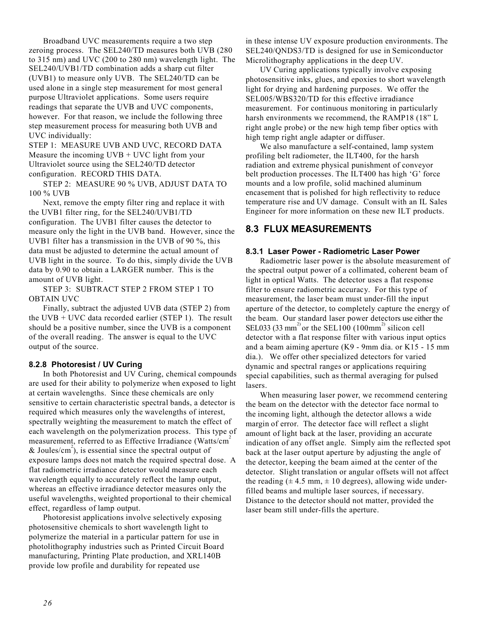Broadband UVC measurements require a two step zeroing process. The SEL240/TD measures both UVB (280 to 315 nm) and UVC (200 to 280 nm) wavelength light. The SEL240/UVB1/TD combination adds a sharp cut filter (UVB1) to measure only UVB. The SEL240/TD can be used alone in a single step measurement for most general purpose Ultraviolet applications. Some users require readings that separate the UVB and UVC components, however. For that reason, we include the following three step measurement process for measuring both UVB and UVC individually:

STEP 1: MEASURE UVB AND UVC, RECORD DATA Measure the incoming UVB + UVC light from your Ultraviolet source using the SEL240/TD detector configuration. RECORD THIS DATA.

STEP 2: MEASURE 90 % UVB, ADJUST DATA TO 100 % UVB

Next, remove the empty filter ring and replace it with the UVB1 filter ring, for the SEL240/UVB1/TD configuration. The UVB1 filter causes the detector to measure only the light in the UVB band. However, since the UVB1 filter has a transmission in the UVB of 90 %, this data must be adjusted to determine the actual amount of UVB light in the source. To do this, simply divide the UVB data by 0.90 to obtain a LARGER number. This is the amount of UVB light.

STEP 3: SUBTRACT STEP 2 FROM STEP 1 TO OBTAIN UVC

Finally, subtract the adjusted UVB data (STEP 2) from the UVB + UVC data recorded earlier (STEP 1). The result should be a positive number, since the UVB is a component of the overall reading. The answer is equal to the UVC output of the source.

#### **8.2.8 Photoresist / UV Curing**

In both Photoresist and UV Curing, chemical compounds are used for their ability to polymerize when exposed to light at certain wavelengths. Since these chemicals are only sensitive to certain characteristic spectral bands, a detector is required which measures only the wavelengths of interest, spectrally weighting the measurement to match the effect of each wavelength on the polymerization process. This type of measurement, referred to as Effective Irradiance (Watts/cm<sup>2</sup> & Joules/cm<sup>2</sup>), is essential since the spectral output of exposure lamps does not match the required spectral dose. A flat radiometric irradiance detector would measure each wavelength equally to accurately reflect the lamp output, whereas an effective irradiance detector measures only the useful wavelengths, weighted proportional to their chemical effect, regardless of lamp output.

Photoresist applications involve selectively exposing photosensitive chemicals to short wavelength light to polymerize the material in a particular pattern for use in photolithography industries such as Printed Circuit Board manufacturing, Printing Plate production, and XRL140B provide low profile and durability for repeated use

in these intense UV exposure production environments. The SEL240/QNDS3/TD is designed for use in Semiconductor Microlithography applications in the deep UV.

UV Curing applications typically involve exposing photosensitive inks, glues, and epoxies to short wavelength light for drying and hardening purposes. We offer the SEL005/WBS320/TD for this effective irradiance measurement. For continuous monitoring in particularly harsh environments we recommend, the RAMP18 (18" L right angle probe) or the new high temp fiber optics with high temp right angle adapter or diffuser.

We also manufacture a self-contained, lamp system profiling belt radiometer, the ILT400, for the harsh radiation and extreme physical punishment of conveyor belt production processes. The ILT400 has high 'G' force mounts and a low profile, solid machined aluminum encasement that is polished for high reflectivity to reduce temperature rise and UV damage. Consult with an IL Sales Engineer for more information on these new ILT products.

#### **8.3 FLUX MEASUREMENTS**

#### **8.3.1 Laser Power - Radiometric Laser Power**

Radiometric laser power is the absolute measurement of the spectral output power of a collimated, coherent beam of light in optical Watts. The detector uses a flat response filter to ensure radiometric accuracy. For this type of measurement, the laser beam must under-fill the input aperture of the detector, to completely capture the energy of the beam. Our standard laser power detectors use either the SEL033 (33 mm<sup>2)</sup> or the SEL100 (100mm<sup>2)</sup> silicon cell detector with a flat response filter with various input optics and a beam aiming aperture (K9 - 9mm dia. or K15 - 15 mm dia.). We offer other specialized detectors for varied dynamic and spectral ranges or applications requiring special capabilities, such as thermal averaging for pulsed lasers.

When measuring laser power, we recommend centering the beam on the detector with the detector face normal to the incoming light, although the detector allows a wide margin of error. The detector face will reflect a slight amount of light back at the laser, providing an accurate indication of any offset angle. Simply aim the reflected spot back at the laser output aperture by adjusting the angle of the detector, keeping the beam aimed at the center of the detector. Slight translation or angular offsets will not affect the reading  $(\pm 4.5 \text{ mm}, \pm 10 \text{ degrees})$ , allowing wide underfilled beams and multiple laser sources, if necessary. Distance to the detector should not matter, provided the laser beam still under-fills the aperture.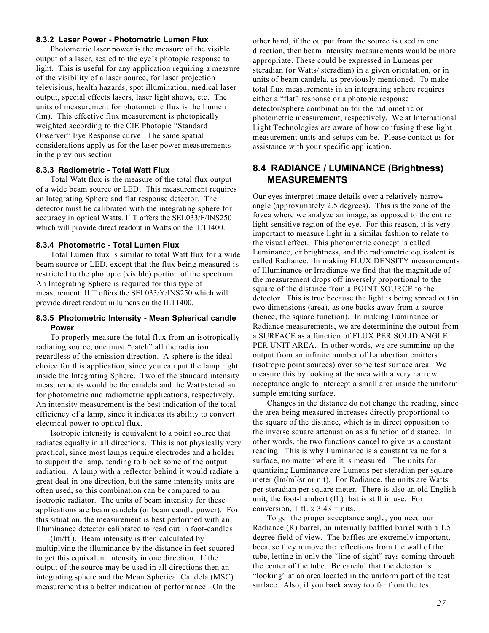#### **8.3.2 Laser Power - Photometric Lumen Flux**

Photometric laser power is the measure of the visible output of a laser, scaled to the eye's photopic response to light. This is useful for any application requiring a measure of the visibility of a laser source, for laser projection televisions, health hazards, spot illumination, medical laser output, special effects lasers, laser light shows, etc. The units of measurement for photometric flux is the Lumen (lm). This effective flux measurement is photopically weighted according to the CIE Photopic "Standard Observer" Eye Response curve. The same spatial considerations apply as for the laser power measurements in the previous section.

#### **8.3.3 Radiometric - Total Watt Flux**

Total Watt flux is the measure of the total flux output of a wide beam source or LED. This measurement requires an Integrating Sphere and flat response detector. The detector must be calibrated with the integrating sphere for accuracy in optical Watts. ILT offers the SEL033/F/INS250 which will provide direct readout in Watts on the ILT1400.

#### **8.3.4 Photometric - Total Lumen Flux**

Total Lumen flux is similar to total Watt flux for a wide beam source or LED, except that the flux being measured is restricted to the photopic (visible) portion of the spectrum. An Integrating Sphere is required for this type of measurement. ILT offers the SEL033/Y/INS250 which will provide direct readout in lumens on the ILT1400.

#### **8.3.5 Photometric Intensity - Mean Spherical candle Power**

To properly measure the total flux from an isotropically radiating source, one must "catch" all the radiation regardless of the emission direction. A sphere is the ideal choice for this application, since you can put the lamp right inside the Integrating Sphere. Two of the standard intensity measurements would be the candela and the Watt/steradian for photometric and radiometric applications, respectively. An intensity measurement is the best indication of the total efficiency of a lamp, since it indicates its ability to convert electrical power to optical flux.

Isotropic intensity is equivalent to a point source that radiates equally in all directions. This is not physically very practical, since most lamps require electrodes and a holder to support the lamp, tending to block some of the output radiation. A lamp with a reflector behind it would radiate a great deal in one direction, but the same intensity units are often used, so this combination can be compared to an isotropic radiator. The units of beam intensity for these applications are beam candela (or beam candle power). For this situation, the measurement is best performed with an Illuminance detector calibrated to read out in foot-candles

 $(\text{Im/ft}^2)$ . Beam intensity is then calculated by multiplying the illuminance by the distance in feet squared to get this equivalent intensity in one direction. If the output of the source may be used in all directions then an integrating sphere and the Mean Spherical Candela (MSC) measurement is a better indication of performance. On the other hand, if the output from the source is used in one direction, then beam intensity measurements would be more appropriate. These could be expressed in Lumens per steradian (or Watts/ steradian) in a given orientation, or in units of beam candela, as previously mentioned. To make total flux measurements in an integrating sphere requires either a "flat" response or a photopic response detector/sphere combination for the radiometric or photometric measurement, respectively. We at International Light Technologies are aware of how confusing these light measurement units and setups can be. Please contact us for assistance with your specific application.

### **8.4 RADIANCE / LUMINANCE (Brightness) MEASUREMENTS**

Our eyes interpret image details over a relatively narrow angle (approximately 2.5 degrees). This is the zone of the fovea where we analyze an image, as opposed to the entire light sensitive region of the eye. For this reason, it is very important to measure light in a similar fashion to relate to the visual effect. This photometric concept is called Luminance, or brightness, and the radiometric equivalent is called Radiance. In making FLUX DENSITY measurements of Illuminance or Irradiance we find that the magnitude of the measurement drops off inversely proportional to the square of the distance from a POINT SOURCE to the detector. This is true because the light is being spread out in two dimensions (area), as one backs away from a source (hence, the square function). In making Luminance or Radiance measurements, we are determining the output from a SURFACE as a function of FLUX PER SOLID ANGLE PER UNIT AREA. In other words, we are summing up the output from an infinite number of Lambertian emitters (isotropic point sources) over some test surface area. We measure this by looking at the area with a very narrow acceptance angle to intercept a small area inside the uniform sample emitting surface.

Changes in the distance do not change the reading, since the area being measured increases directly proportional to the square of the distance, which is in direct opposition to the inverse square attenuation as a function of distance. In other words, the two functions cancel to give us a constant reading. This is why Luminance is a constant value for a surface, no matter where it is measured. The units for quantizing Luminance are Lumens per steradian per square meter ( $\text{Im/m}^2/\text{sr}$  or nit). For Radiance, the units are Watts per steradian per square meter. There is also an old English unit, the foot-Lambert (fL) that is still in use. For conversion, 1 fL  $x$  3.43 = nits.

To get the proper acceptance angle, you need our Radiance (R) barrel, an internally baffled barrel with a 1.5 degree field of view. The baffles are extremely important, because they remove the reflections from the wall of the tube, letting in only the "line of sight" rays coming through the center of the tube. Be careful that the detector is "looking" at an area located in the uniform part of the test surface. Also, if you back away too far from the test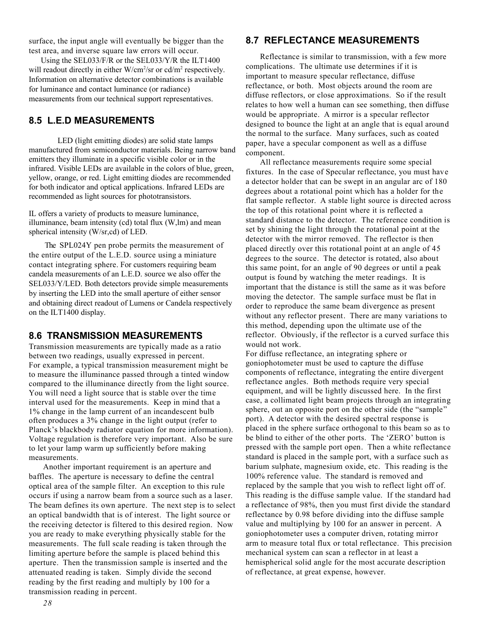surface, the input angle will eventually be bigger than the test area, and inverse square law errors will occur.

 Using the SEL033/F/R or the SEL033/Y/R the ILT1400 will readout directly in either W/cm<sup>2</sup>/sr or cd/m<sup>2</sup> respectively. Information on alternative detector combinations is available for luminance and contact luminance (or radiance) measurements from our technical support representatives.

### **8.5 L.E.D MEASUREMENTS**

LED (light emitting diodes) are solid state lamps manufactured from semiconductor materials. Being narrow band emitters they illuminate in a specific visible color or in the infrared. Visible LEDs are available in the colors of blue, green, yellow, orange, or red. Light emitting diodes are recommended for both indicator and optical applications. Infrared LEDs are recommended as light sources for phototransistors.

IL offers a variety of products to measure luminance, illuminance, beam intensity (cd) total flux (W,lm) and mean spherical intensity (W/sr,cd) of LED.

 The SPL024Y pen probe permits the measurement of the entire output of the L.E.D. source using a miniature contact integrating sphere. For customers requiring beam candela measurements of an L.E.D. source we also offer the SEL033/Y/LED. Both detectors provide simple measurements by inserting the LED into the small aperture of either sensor and obtaining direct readout of Lumens or Candela respectively on the ILT1400 display.

#### **8.6 TRANSMISSION MEASUREMENTS**

Transmission measurements are typically made as a ratio between two readings, usually expressed in percent. For example, a typical transmission measurement might be to measure the illuminance passed through a tinted window compared to the illuminance directly from the light source. You will need a light source that is stable over the time interval used for the measurements. Keep in mind that a 1% change in the lamp current of an incandescent bulb often produces a 3% change in the light output (refer to Planck's blackbody radiator equation for more information). Voltage regulation is therefore very important. Also be sure to let your lamp warm up sufficiently before making measurements.

Another important requirement is an aperture and baffles. The aperture is necessary to define the central optical area of the sample filter. An exception to this rule occurs if using a narrow beam from a source such as a laser. The beam defines its own aperture. The next step is to select an optical bandwidth that is of interest. The light source or the receiving detector is filtered to this desired region. Now you are ready to make everything physically stable for the measurements. The full scale reading is taken through the limiting aperture before the sample is placed behind this aperture. Then the transmission sample is inserted and the attenuated reading is taken. Simply divide the second reading by the first reading and multiply by 100 for a transmission reading in percent.

#### **8.7 REFLECTANCE MEASUREMENTS**

Reflectance is similar to transmission, with a few more complications. The ultimate use determines if it is important to measure specular reflectance, diffuse reflectance, or both. Most objects around the room are diffuse reflectors, or close approximations. So if the result relates to how well a human can see something, then diffuse would be appropriate. A mirror is a specular reflector designed to bounce the light at an angle that is equal around the normal to the surface. Many surfaces, such as coated paper, have a specular component as well as a diffuse component.

All reflectance measurements require some special fixtures. In the case of Specular reflectance, you must have a detector holder that can be swept in an angular arc of 180 degrees about a rotational point which has a holder for the flat sample reflector. A stable light source is directed across the top of this rotational point where it is reflected a standard distance to the detector. The reference condition is set by shining the light through the rotational point at the detector with the mirror removed. The reflector is then placed directly over this rotational point at an angle of 45 degrees to the source. The detector is rotated, also about this same point, for an angle of 90 degrees or until a peak output is found by watching the meter readings. It is important that the distance is still the same as it was before moving the detector. The sample surface must be flat in order to reproduce the same beam divergence as present without any reflector present. There are many variations to this method, depending upon the ultimate use of the reflector. Obviously, if the reflector is a curved surface this would not work.

For diffuse reflectance, an integrating sphere or goniophotometer must be used to capture the diffuse components of reflectance, integrating the entire divergent reflectance angles. Both methods require very special equipment, and will be lightly discussed here. In the first case, a collimated light beam projects through an integrating sphere, out an opposite port on the other side (the "sample" port). A detector with the desired spectral response is placed in the sphere surface orthogonal to this beam so as to be blind to either of the other ports. The 'ZERO' button is pressed with the sample port open. Then a white reflectance standard is placed in the sample port, with a surface such as barium sulphate, magnesium oxide, etc. This reading is the 100% reference value. The standard is removed and replaced by the sample that you wish to reflect light off of. This reading is the diffuse sample value. If the standard had a reflectance of 98%, then you must first divide the standard reflectance by 0.98 before dividing into the diffuse sample value and multiplying by 100 for an answer in percent. A goniophotometer uses a computer driven, rotating mirror arm to measure total flux or total reflectance. This precision mechanical system can scan a reflector in at least a hemispherical solid angle for the most accurate description of reflectance, at great expense, however.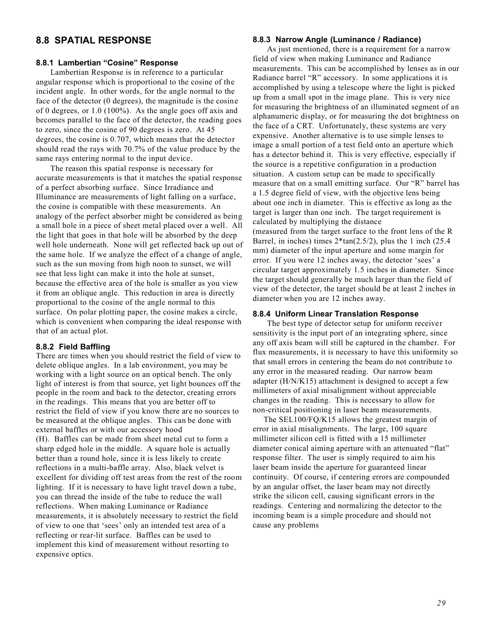### **8.8 SPATIAL RESPONSE**

#### **8.8.1 Lambertian "Cosine" Response**

Lambertian Response is in reference to a particular angular response which is proportional to the cosine of the incident angle. In other words, for the angle normal to the face of the detector (0 degrees), the magnitude is the cosine of 0 degrees, or 1.0 (100%). As the angle goes off axis and becomes parallel to the face of the detector, the reading goes to zero, since the cosine of 90 degrees is zero. At 45 degrees, the cosine is 0.707, which means that the detector should read the rays with 70.7% of the value produce by the same rays entering normal to the input device.

The reason this spatial response is necessary for accurate measurements is that it matches the spatial response of a perfect absorbing surface. Since Irradiance and Illuminance are measurements of light falling on a surface, the cosine is compatible with these measurements. An analogy of the perfect absorber might be considered as being a small hole in a piece of sheet metal placed over a well. All the light that goes in that hole will be absorbed by the deep well hole underneath. None will get reflected back up out of the same hole. If we analyze the effect of a change of angle, such as the sun moving from high noon to sunset, we will see that less light can make it into the hole at sunset, because the effective area of the hole is smaller as you view it from an oblique angle. This reduction in area is directly proportional to the cosine of the angle normal to this surface. On polar plotting paper, the cosine makes a circle, which is convenient when comparing the ideal response with that of an actual plot.

#### **8.8.2 Field Baffling**

There are times when you should restrict the field of view to delete oblique angles. In a lab environment, you may be working with a light source on an optical bench. The only light of interest is from that source, yet light bounces off the people in the room and back to the detector, creating errors in the readings. This means that you are better off to restrict the field of view if you know there are no sources to be measured at the oblique angles. This can be done with external baffles or with our accessory hood (H). Baffles can be made from sheet metal cut to form a sharp edged hole in the middle. A square hole is actually better than a round hole, since it is less likely to create reflections in a multi-baffle array. Also, black velvet is excellent for dividing off test areas from the rest of the room lighting. If it is necessary to have light travel down a tube, you can thread the inside of the tube to reduce the wall reflections. When making Luminance or Radiance measurements, it is absolutely necessary to restrict the field of view to one that 'sees' only an intended test area of a reflecting or rear-lit surface. Baffles can be used to implement this kind of measurement without resorting to expensive optics.

#### **8.8.3 Narrow Angle (Luminance / Radiance)**

As just mentioned, there is a requirement for a narrow field of view when making Luminance and Radiance measurements. This can be accomplished by lenses as in our Radiance barrel "R" accessory. In some applications it is accomplished by using a telescope where the light is picked up from a small spot in the image plane. This is very nice for measuring the brightness of an illuminated segment of an alphanumeric display, or for measuring the dot brightness on the face of a CRT. Unfortunately, these systems are very expensive. Another alternative is to use simple lenses to image a small portion of a test field onto an aperture which has a detector behind it. This is very effective, especially if the source is a repetitive configuration in a production situation. A custom setup can be made to specifically measure that on a small emitting surface. Our "R" barrel has a 1.5 degree field of view, with the objective lens being about one inch in diameter. This is effective as long as the target is larger than one inch. The target requirement is calculated by multiplying the distance (measured from the target surface to the front lens of the R Barrel, in inches) times  $2*tan(2.5/2)$ , plus the 1 inch (25.4) mm) diameter of the input aperture and some margin for error. If you were 12 inches away, the detector 'sees' a circular target approximately 1.5 inches in diameter. Since the target should generally be much larger than the field of view of the detector, the target should be at least 2 inches in diameter when you are 12 inches away.

#### **8.8.4 Uniform Linear Translation Response**

The best type of detector setup for uniform receiver sensitivity is the input port of an integrating sphere, since any off axis beam will still be captured in the chamber. For flux measurements, it is necessary to have this uniformity so that small errors in centering the beam do not contribute to any error in the measured reading. Our narrow beam adapter (H/N/K15) attachment is designed to accept a few millimeters of axial misalignment without appreciable changes in the reading. This is necessary to allow for non-critical positioning in laser beam measurements.

 The SEL100/FQ/K15 allows the greatest margin of error in axial misalignments. The large, 100 square millimeter silicon cell is fitted with a 15 millimeter diameter conical aiming aperture with an attenuated "flat" response filter. The user is simply required to aim his laser beam inside the aperture for guaranteed linear continuity. Of course, if centering errors are compounded by an angular offset, the laser beam may not directly strike the silicon cell, causing significant errors in the readings. Centering and normalizing the detector to the incoming beam is a simple procedure and should not cause any problems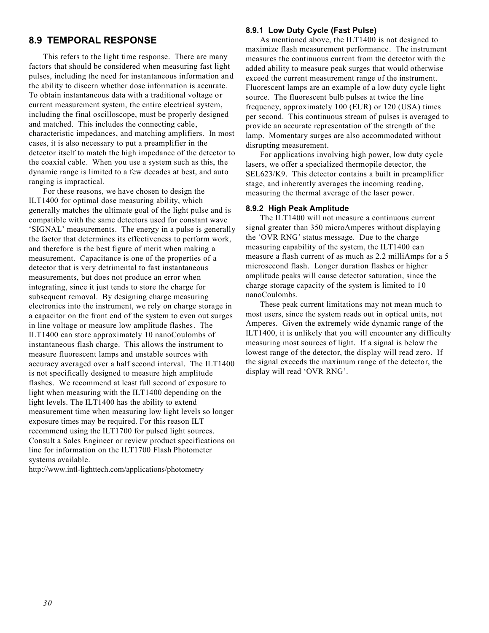#### **8.9 TEMPORAL RESPONSE**

This refers to the light time response. There are many factors that should be considered when measuring fast light pulses, including the need for instantaneous information and the ability to discern whether dose information is accurate. To obtain instantaneous data with a traditional voltage or current measurement system, the entire electrical system, including the final oscilloscope, must be properly designed and matched. This includes the connecting cable, characteristic impedances, and matching amplifiers. In most cases, it is also necessary to put a preamplifier in the detector itself to match the high impedance of the detector to the coaxial cable. When you use a system such as this, the dynamic range is limited to a few decades at best, and auto ranging is impractical.

For these reasons, we have chosen to design the ILT1400 for optimal dose measuring ability, which generally matches the ultimate goal of the light pulse and is compatible with the same detectors used for constant wave 'SIGNAL' measurements. The energy in a pulse is generally the factor that determines its effectiveness to perform work, and therefore is the best figure of merit when making a measurement. Capacitance is one of the properties of a detector that is very detrimental to fast instantaneous measurements, but does not produce an error when integrating, since it just tends to store the charge for subsequent removal. By designing charge measuring electronics into the instrument, we rely on charge storage in a capacitor on the front end of the system to even out surges in line voltage or measure low amplitude flashes. The ILT1400 can store approximately 10 nanoCoulombs of instantaneous flash charge. This allows the instrument to measure fluorescent lamps and unstable sources with accuracy averaged over a half second interval. The ILT1400 is not specifically designed to measure high amplitude flashes. We recommend at least full second of exposure to light when measuring with the ILT1400 depending on the light levels. The ILT1400 has the ability to extend measurement time when measuring low light levels so longer exposure times may be required. For this reason ILT recommend using the ILT1700 for pulsed light sources. Consult a Sales Engineer or review product specifications on line for information on the ILT1700 Flash Photometer systems available.

http://www.intl-lighttech.com/applications/photometry

#### **8.9.1 Low Duty Cycle (Fast Pulse)**

As mentioned above, the ILT1400 is not designed to maximize flash measurement performance. The instrument measures the continuous current from the detector with the added ability to measure peak surges that would otherwise exceed the current measurement range of the instrument. Fluorescent lamps are an example of a low duty cycle light source. The fluorescent bulb pulses at twice the line frequency, approximately 100 (EUR) or 120 (USA) times per second. This continuous stream of pulses is averaged to provide an accurate representation of the strength of the lamp. Momentary surges are also accommodated without disrupting measurement.

For applications involving high power, low duty cycle lasers, we offer a specialized thermopile detector, the SEL623/K9. This detector contains a built in preamplifier stage, and inherently averages the incoming reading, measuring the thermal average of the laser power.

#### **8.9.2 High Peak Amplitude**

The ILT1400 will not measure a continuous current signal greater than 350 microAmperes without displaying the 'OVR RNG' status message. Due to the charge measuring capability of the system, the ILT1400 can measure a flash current of as much as 2.2 milliAmps for a 5 microsecond flash. Longer duration flashes or higher amplitude peaks will cause detector saturation, since the charge storage capacity of the system is limited to 10 nanoCoulombs.

These peak current limitations may not mean much to most users, since the system reads out in optical units, not Amperes. Given the extremely wide dynamic range of the ILT1400, it is unlikely that you will encounter any difficulty measuring most sources of light. If a signal is below the lowest range of the detector, the display will read zero. If the signal exceeds the maximum range of the detector, the display will read 'OVR RNG'.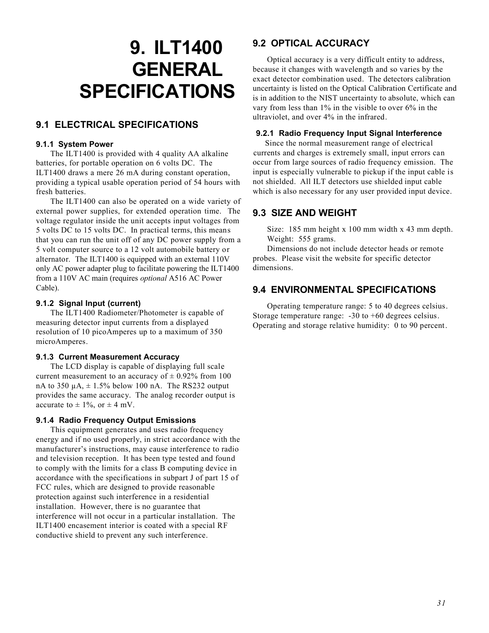# **9. ILT1400 GENERAL SPECIFICATIONS**

## **9.1 ELECTRICAL SPECIFICATIONS**

#### **9.1.1 System Power**

The ILT1400 is provided with 4 quality AA alkaline batteries, for portable operation on 6 volts DC. The ILT1400 draws a mere 26 mA during constant operation, providing a typical usable operation period of 54 hours with fresh batteries.

The ILT1400 can also be operated on a wide variety of external power supplies, for extended operation time. The voltage regulator inside the unit accepts input voltages from 5 volts DC to 15 volts DC. In practical terms, this means that you can run the unit off of any DC power supply from a 5 volt computer source to a 12 volt automobile battery or alternator. The ILT1400 is equipped with an external 110V only AC power adapter plug to facilitate powering the ILT1400 from a 110V AC main (requires *optional* A516 AC Power Cable).

#### **9.1.2 Signal Input (current)**

The ILT1400 Radiometer/Photometer is capable of measuring detector input currents from a displayed resolution of 10 picoAmperes up to a maximum of 350 microAmperes.

#### **9.1.3 Current Measurement Accuracy**

The LCD display is capable of displaying full scale current measurement to an accuracy of  $\pm$  0.92% from 100 nA to 350  $\mu$ A,  $\pm$  1.5% below 100 nA. The RS232 output provides the same accuracy. The analog recorder output is accurate to  $\pm$  1%, or  $\pm$  4 mV.

#### **9.1.4 Radio Frequency Output Emissions**

This equipment generates and uses radio frequency energy and if no used properly, in strict accordance with the manufacturer's instructions, may cause interference to radio and television reception. It has been type tested and found to comply with the limits for a class B computing device in accordance with the specifications in subpart J of part 15 of FCC rules, which are designed to provide reasonable protection against such interference in a residential installation. However, there is no guarantee that interference will not occur in a particular installation. The ILT1400 encasement interior is coated with a special RF conductive shield to prevent any such interference.

# **9.2 OPTICAL ACCURACY**

Optical accuracy is a very difficult entity to address, because it changes with wavelength and so varies by the exact detector combination used. The detectors calibration uncertainty is listed on the Optical Calibration Certificate and is in addition to the NIST uncertainty to absolute, which can vary from less than 1% in the visible to over 6% in the ultraviolet, and over 4% in the infrared.

#### **9.2.1 Radio Frequency Input Signal Interference**

Since the normal measurement range of electrical currents and charges is extremely small, input errors can occur from large sources of radio frequency emission. The input is especially vulnerable to pickup if the input cable is not shielded. All ILT detectors use shielded input cable which is also necessary for any user provided input device.

# **9.3 SIZE AND WEIGHT**

Size: 185 mm height x 100 mm width x 43 mm depth. Weight: 555 grams.

Dimensions do not include detector heads or remote probes. Please visit the website for specific detector dimensions.

# **9.4 ENVIRONMENTAL SPECIFICATIONS**

Operating temperature range: 5 to 40 degrees celsius. Storage temperature range: -30 to +60 degrees celsius. Operating and storage relative humidity: 0 to 90 percent.